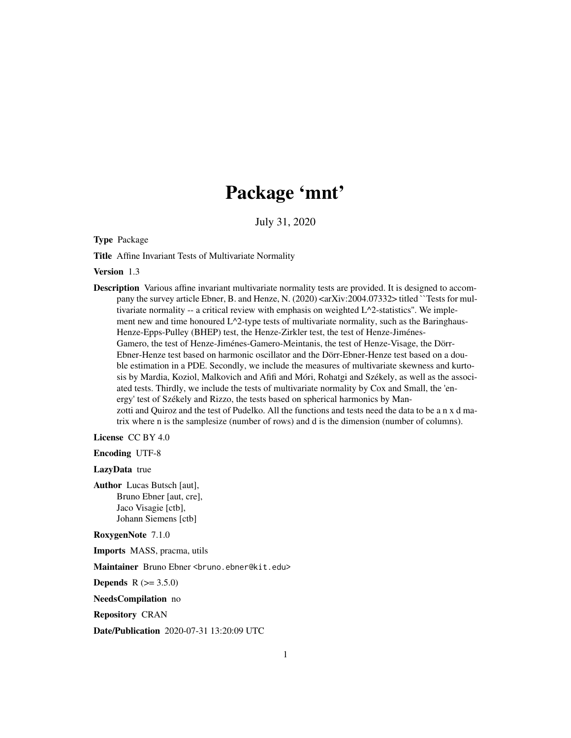# Package 'mnt'

July 31, 2020

<span id="page-0-0"></span>Type Package

Title Affine Invariant Tests of Multivariate Normality

Version 1.3

Description Various affine invariant multivariate normality tests are provided. It is designed to accompany the survey article Ebner, B. and Henze, N. (2020) <arXiv:2004.07332> titled ``Tests for multivariate normality -- a critical review with emphasis on weighted  $L^2$ -statistics". We implement new and time honoured  $L^{\wedge}2$ -type tests of multivariate normality, such as the Baringhaus-Henze-Epps-Pulley (BHEP) test, the Henze-Zirkler test, the test of Henze-Jiménes-Gamero, the test of Henze-Jiménes-Gamero-Meintanis, the test of Henze-Visage, the Dörr-Ebner-Henze test based on harmonic oscillator and the Dörr-Ebner-Henze test based on a double estimation in a PDE. Secondly, we include the measures of multivariate skewness and kurtosis by Mardia, Koziol, Malkovich and Afifi and Móri, Rohatgi and Székely, as well as the associated tests. Thirdly, we include the tests of multivariate normality by Cox and Small, the 'energy' test of Székely and Rizzo, the tests based on spherical harmonics by Manzotti and Quiroz and the test of Pudelko. All the functions and tests need the data to be a n x d matrix where n is the samplesize (number of rows) and d is the dimension (number of columns).

License CC BY 4.0

Encoding UTF-8

LazyData true

Author Lucas Butsch [aut], Bruno Ebner [aut, cre], Jaco Visagie [ctb], Johann Siemens [ctb]

RoxygenNote 7.1.0

Imports MASS, pracma, utils

Maintainer Bruno Ebner <bruno.ebner@kit.edu>

**Depends**  $R (= 3.5.0)$ 

NeedsCompilation no

Repository CRAN

Date/Publication 2020-07-31 13:20:09 UTC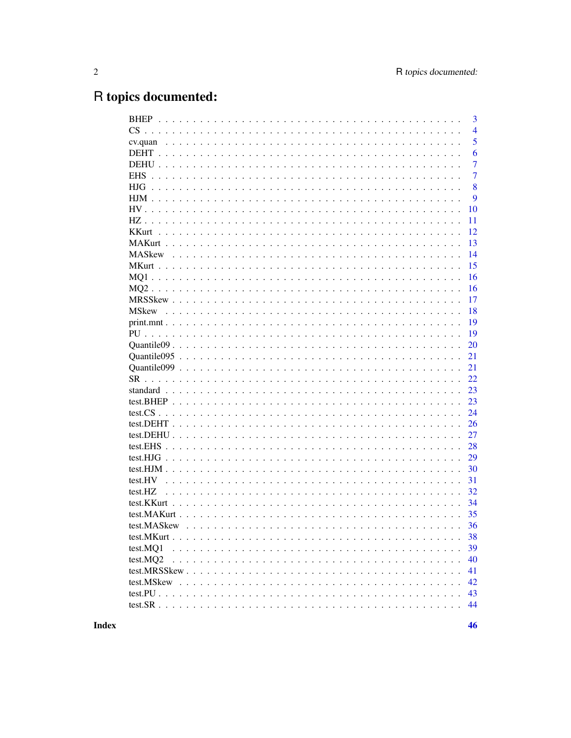# R topics documented:

|          | $\overline{3}$ |
|----------|----------------|
|          | $\overline{4}$ |
|          | 5              |
|          | 6              |
|          | $\overline{7}$ |
|          | $\overline{7}$ |
| HJG.     | 8              |
|          | 9              |
|          | 10             |
|          | 11             |
|          | 12             |
|          | 13             |
|          | 14             |
|          | 15             |
|          | 16             |
|          | 16             |
|          | 17             |
|          | 18             |
|          | 19             |
|          | 19             |
|          | 20             |
|          | 21             |
|          | 21             |
|          | 22             |
|          | 23             |
|          | 23             |
|          | 24             |
|          | 26             |
|          | 27             |
|          | 28             |
|          | 29             |
|          | 30             |
|          | 31             |
| test.HZ  | 32             |
|          | 34             |
|          | 35             |
|          | 36             |
|          | 38             |
| test.MO1 | 39             |
| test.MQ2 | 40             |
|          | 41             |
|          | 42             |
|          | 43             |
|          | 44             |
|          |                |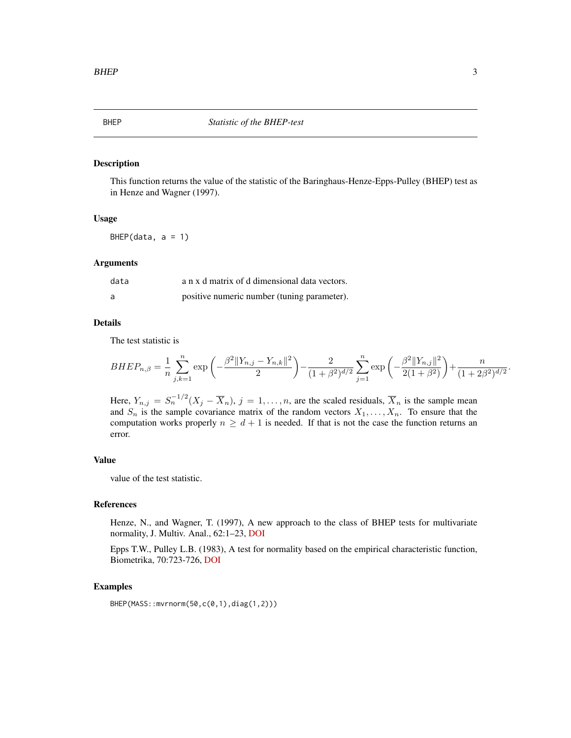<span id="page-2-1"></span><span id="page-2-0"></span>This function returns the value of the statistic of the Baringhaus-Henze-Epps-Pulley (BHEP) test as in Henze and Wagner (1997).

#### Usage

 $BHEP(data, a = 1)$ 

#### Arguments

| data | a n x d matrix of d dimensional data vectors. |
|------|-----------------------------------------------|
| a    | positive numeric number (tuning parameter).   |

# Details

The test statistic is

$$
BHEP_{n,\beta} = \frac{1}{n} \sum_{j,k=1}^{n} \exp\left(-\frac{\beta^2 ||Y_{n,j} - Y_{n,k}||^2}{2}\right) - \frac{2}{(1+\beta^2)^{d/2}} \sum_{j=1}^{n} \exp\left(-\frac{\beta^2 ||Y_{n,j}||^2}{2(1+\beta^2)}\right) + \frac{n}{(1+2\beta^2)^{d/2}}
$$

Here,  $Y_{n,j} = S_n^{-1/2} (X_j - \overline{X}_n)$ ,  $j = 1, ..., n$ , are the scaled residuals,  $\overline{X}_n$  is the sample mean and  $S_n$  is the sample covariance matrix of the random vectors  $X_1, \ldots, X_n$ . To ensure that the computation works properly  $n \geq d + 1$  is needed. If that is not the case the function returns an error.

# Value

value of the test statistic.

#### References

Henze, N., and Wagner, T. (1997), A new approach to the class of BHEP tests for multivariate normality, J. Multiv. Anal., 62:1–23, [DOI](https://doi.org/10.1006/jmva.1997.1684)

Epps T.W., Pulley L.B. (1983), A test for normality based on the empirical characteristic function, Biometrika, 70:723-726, [DOI](https://doi.org/10.1093/biomet/70.3.723)

#### Examples

BHEP(MASS::mvrnorm(50,c(0,1),diag(1,2)))

.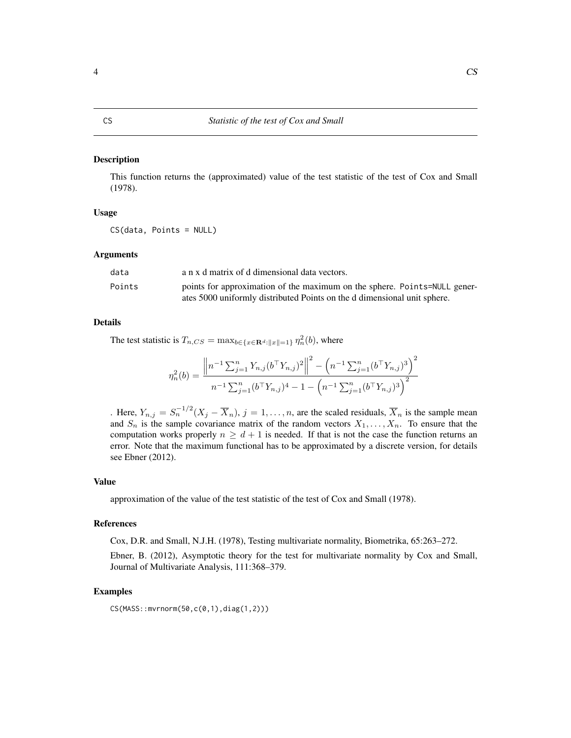<span id="page-3-1"></span><span id="page-3-0"></span>This function returns the (approximated) value of the test statistic of the test of Cox and Small (1978).

#### Usage

CS(data, Points = NULL)

#### Arguments

| data   | a n x d matrix of d dimensional data vectors.                             |
|--------|---------------------------------------------------------------------------|
| Points | points for approximation of the maximum on the sphere. Points=NULL gener- |
|        | ates 5000 uniformly distributed Points on the d dimensional unit sphere.  |

#### Details

The test statistic is  $T_{n,CS} = \max_{b \in \{x \in \mathbf{R}^d : ||x|| = 1\}} \eta_n^2(b)$ , where

$$
\eta_n^2(b) = \frac{\left\| n^{-1} \sum_{j=1}^n Y_{n,j} (b^\top Y_{n,j})^2 \right\|^2 - \left( n^{-1} \sum_{j=1}^n (b^\top Y_{n,j})^3 \right)^2}{n^{-1} \sum_{j=1}^n (b^\top Y_{n,j})^4 - 1 - \left( n^{-1} \sum_{j=1}^n (b^\top Y_{n,j})^3 \right)^2}
$$

. Here,  $Y_{n,j} = S_n^{-1/2} (X_j - \overline{X}_n)$ ,  $j = 1, ..., n$ , are the scaled residuals,  $\overline{X}_n$  is the sample mean and  $S_n$  is the sample covariance matrix of the random vectors  $X_1, \ldots, X_n$ . To ensure that the computation works properly  $n \geq d + 1$  is needed. If that is not the case the function returns an error. Note that the maximum functional has to be approximated by a discrete version, for details see Ebner (2012).

#### Value

approximation of the value of the test statistic of the test of Cox and Small (1978).

#### References

Cox, D.R. and Small, N.J.H. (1978), Testing multivariate normality, Biometrika, 65:263–272.

Ebner, B. (2012), Asymptotic theory for the test for multivariate normality by Cox and Small, Journal of Multivariate Analysis, 111:368–379.

#### Examples

CS(MASS::mvrnorm(50,c(0,1),diag(1,2)))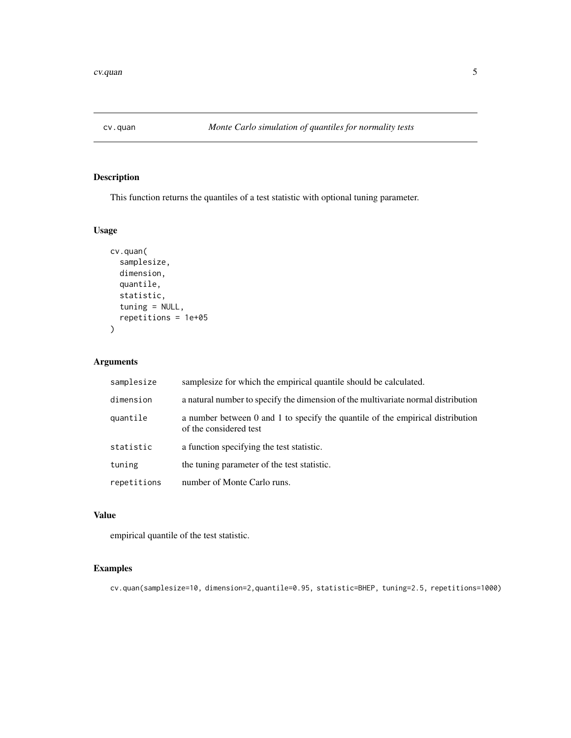<span id="page-4-0"></span>

This function returns the quantiles of a test statistic with optional tuning parameter.

# Usage

```
cv.quan(
  samplesize,
  dimension,
  quantile,
  statistic,
  tuning = NULL,
  repetitions = 1e+05
\mathcal{L}
```
# Arguments

| samplesize  | samplesize for which the empirical quantile should be calculated.                                        |
|-------------|----------------------------------------------------------------------------------------------------------|
| dimension   | a natural number to specify the dimension of the multivariate normal distribution                        |
| quantile    | a number between 0 and 1 to specify the quantile of the empirical distribution<br>of the considered test |
| statistic   | a function specifying the test statistic.                                                                |
| tuning      | the tuning parameter of the test statistic.                                                              |
| repetitions | number of Monte Carlo runs.                                                                              |

# Value

empirical quantile of the test statistic.

# Examples

cv.quan(samplesize=10, dimension=2,quantile=0.95, statistic=BHEP, tuning=2.5, repetitions=1000)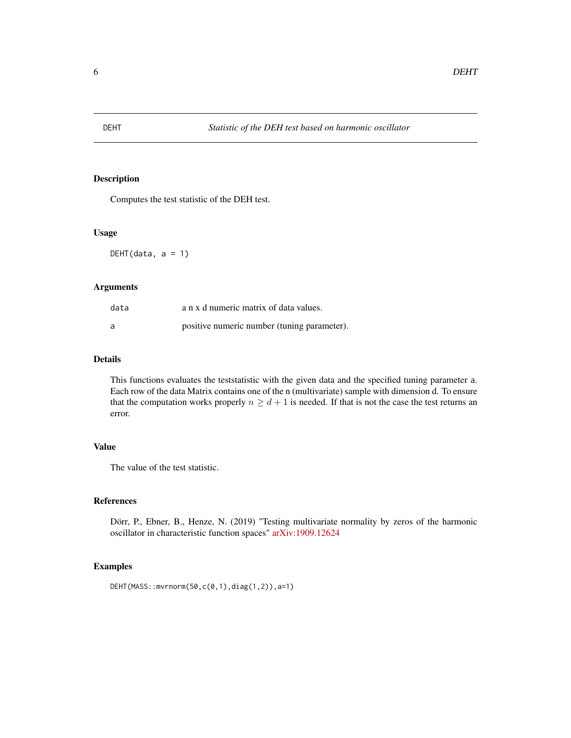<span id="page-5-1"></span><span id="page-5-0"></span>

Computes the test statistic of the DEH test.

#### Usage

DEHT(data,  $a = 1$ )

# Arguments

| data | a n x d numeric matrix of data values.      |
|------|---------------------------------------------|
| a    | positive numeric number (tuning parameter). |

# Details

This functions evaluates the teststatistic with the given data and the specified tuning parameter a. Each row of the data Matrix contains one of the n (multivariate) sample with dimension d. To ensure that the computation works properly  $n \geq d+1$  is needed. If that is not the case the test returns an error.

# Value

The value of the test statistic.

# References

Dörr, P., Ebner, B., Henze, N. (2019) "Testing multivariate normality by zeros of the harmonic oscillator in characteristic function spaces" [arXiv:1909.12624](https://arxiv.org/abs/1909.12624)

# Examples

```
DEHT(MASS::mvrnorm(50,c(0,1),diag(1,2)),a=1)
```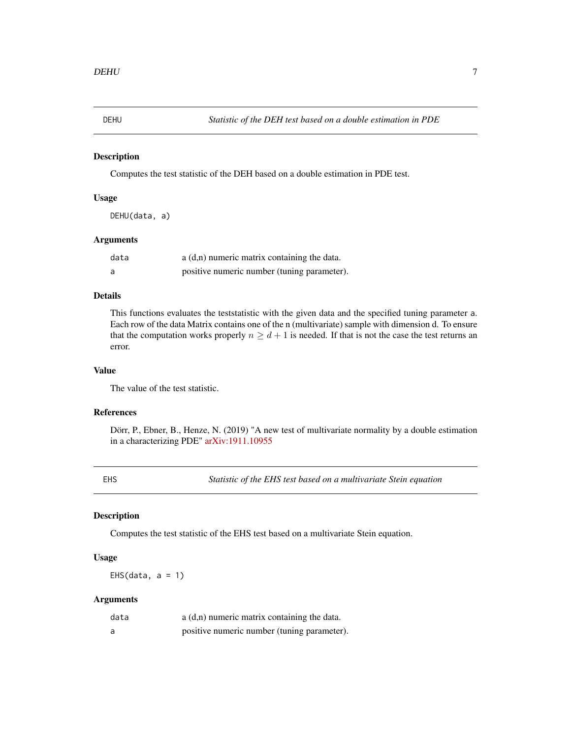<span id="page-6-1"></span><span id="page-6-0"></span>

Computes the test statistic of the DEH based on a double estimation in PDE test.

#### Usage

DEHU(data, a)

# Arguments

| data | $a(d,n)$ numeric matrix containing the data. |
|------|----------------------------------------------|
| a    | positive numeric number (tuning parameter).  |

#### Details

This functions evaluates the teststatistic with the given data and the specified tuning parameter a. Each row of the data Matrix contains one of the n (multivariate) sample with dimension d. To ensure that the computation works properly  $n \geq d+1$  is needed. If that is not the case the test returns an error.

#### Value

The value of the test statistic.

#### References

Dörr, P., Ebner, B., Henze, N. (2019) "A new test of multivariate normality by a double estimation in a characterizing PDE" [arXiv:1911.10955](https://arxiv.org/abs/1911.10955)

<span id="page-6-2"></span>EHS *Statistic of the EHS test based on a multivariate Stein equation*

## Description

Computes the test statistic of the EHS test based on a multivariate Stein equation.

#### Usage

EHS(data,  $a = 1$ )

# Arguments

| data | $a(d,n)$ numeric matrix containing the data. |
|------|----------------------------------------------|
| a    | positive numeric number (tuning parameter).  |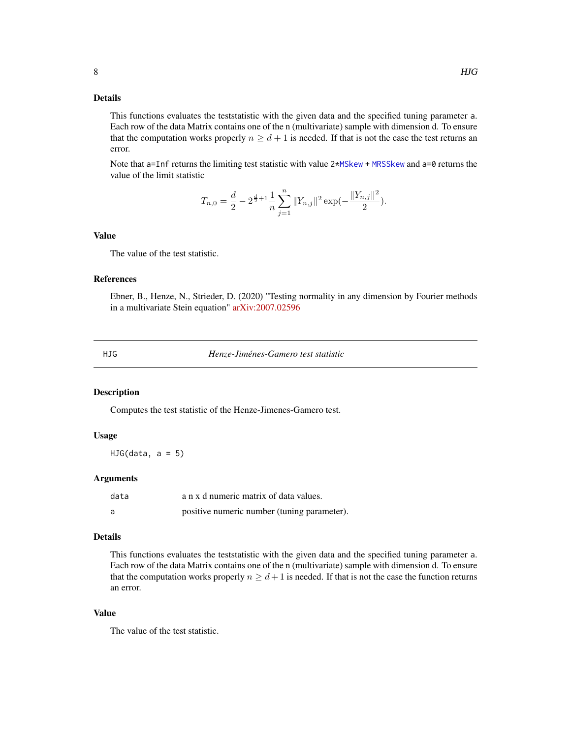# <span id="page-7-0"></span>Details

This functions evaluates the teststatistic with the given data and the specified tuning parameter a. Each row of the data Matrix contains one of the n (multivariate) sample with dimension d. To ensure that the computation works properly  $n \geq d+1$  is needed. If that is not the case the test returns an error.

Note that a=Inf returns the limiting test statistic with value 2[\\*MSkew](#page-17-1) + [MRSSkew](#page-16-1) and a=0 returns the value of the limit statistic

$$
T_{n,0} = \frac{d}{2} - 2^{\frac{d}{2}+1} \frac{1}{n} \sum_{j=1}^{n} ||Y_{n,j}||^2 \exp(-\frac{||Y_{n,j}||^2}{2}).
$$

#### Value

The value of the test statistic.

#### References

Ebner, B., Henze, N., Strieder, D. (2020) "Testing normality in any dimension by Fourier methods in a multivariate Stein equation" [arXiv:2007.02596](https://arxiv.org/abs/2007.02596)

<span id="page-7-1"></span>HJG *Henze-Jiménes-Gamero test statistic*

#### Description

Computes the test statistic of the Henze-Jimenes-Gamero test.

# Usage

 $HJG(data, a = 5)$ 

#### Arguments

| data | a n x d numeric matrix of data values.      |
|------|---------------------------------------------|
|      | positive numeric number (tuning parameter). |

#### Details

This functions evaluates the teststatistic with the given data and the specified tuning parameter a. Each row of the data Matrix contains one of the n (multivariate) sample with dimension d. To ensure that the computation works properly  $n \geq d+1$  is needed. If that is not the case the function returns an error.

#### Value

The value of the test statistic.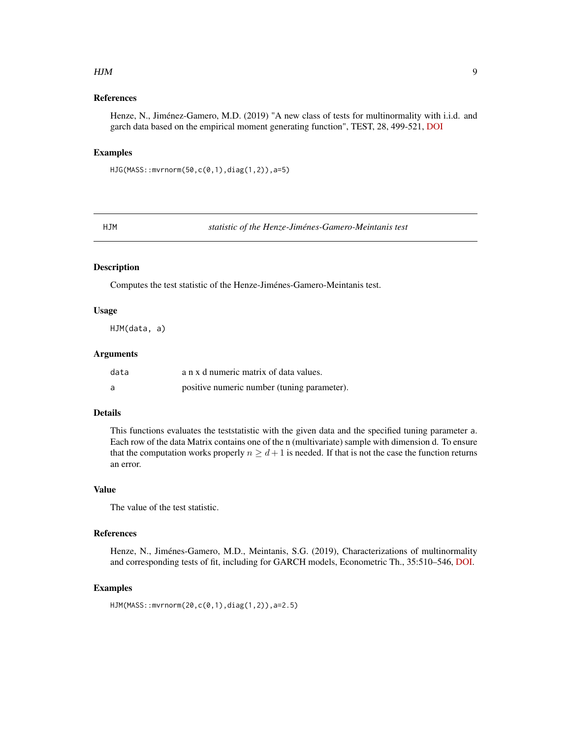#### <span id="page-8-0"></span> $HJM$  9

# References

Henze, N., Jiménez-Gamero, M.D. (2019) "A new class of tests for multinormality with i.i.d. and garch data based on the empirical moment generating function", TEST, 28, 499-521, [DOI](https://doi.org/10.1007/s11749-018-0589-z)

# Examples

HJG(MASS::mvrnorm(50,c(0,1),diag(1,2)),a=5)

<span id="page-8-1"></span>HJM *statistic of the Henze-Jiménes-Gamero-Meintanis test*

# Description

Computes the test statistic of the Henze-Jiménes-Gamero-Meintanis test.

#### Usage

HJM(data, a)

#### Arguments

| data | a n x d numeric matrix of data values.      |
|------|---------------------------------------------|
| a    | positive numeric number (tuning parameter). |

# Details

This functions evaluates the teststatistic with the given data and the specified tuning parameter a. Each row of the data Matrix contains one of the n (multivariate) sample with dimension d. To ensure that the computation works properly  $n \ge d+1$  is needed. If that is not the case the function returns an error.

#### Value

The value of the test statistic.

# References

Henze, N., Jiménes-Gamero, M.D., Meintanis, S.G. (2019), Characterizations of multinormality and corresponding tests of fit, including for GARCH models, Econometric Th., 35:510–546, [DOI.](https://doi.org/10.1017/S0266466618000154)

# Examples

```
HJM(MASS::mvrnorm(20,c(0,1),diag(1,2)),a=2.5)
```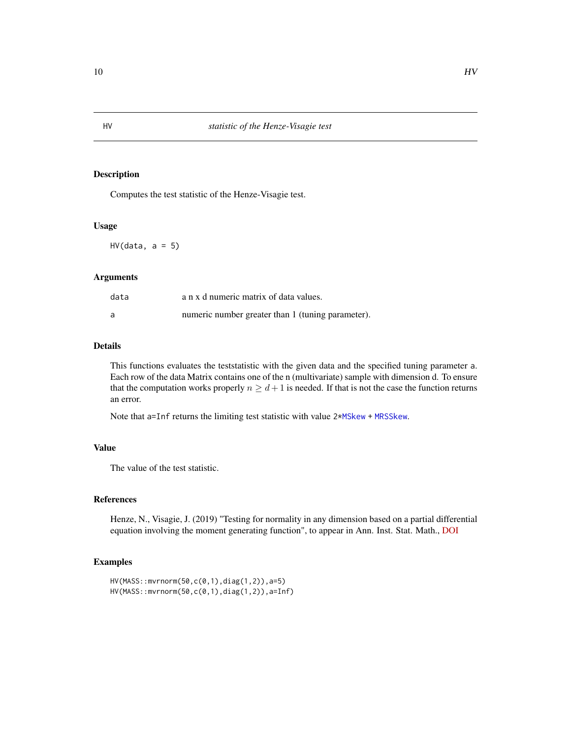Computes the test statistic of the Henze-Visagie test.

# Usage

 $HV(data, a = 5)$ 

#### Arguments

| data | a n x d numeric matrix of data values.            |
|------|---------------------------------------------------|
|      | numeric number greater than 1 (tuning parameter). |

# Details

This functions evaluates the teststatistic with the given data and the specified tuning parameter a. Each row of the data Matrix contains one of the n (multivariate) sample with dimension d. To ensure that the computation works properly  $n \geq d+1$  is needed. If that is not the case the function returns an error.

Note that a=Inf returns the limiting test statistic with value 2[\\*MSkew](#page-17-1) + [MRSSkew](#page-16-1).

# Value

The value of the test statistic.

# References

Henze, N., Visagie, J. (2019) "Testing for normality in any dimension based on a partial differential equation involving the moment generating function", to appear in Ann. Inst. Stat. Math., [DOI](https://doi.org/10.1007/s10463-019-00720-8)

# Examples

```
HV(MASS::mvrnorm(50,c(0,1),diag(1,2)),a=5)
HV(MASS::mvrnorm(50,c(0,1),diag(1,2)),a=Inf)
```
<span id="page-9-1"></span><span id="page-9-0"></span>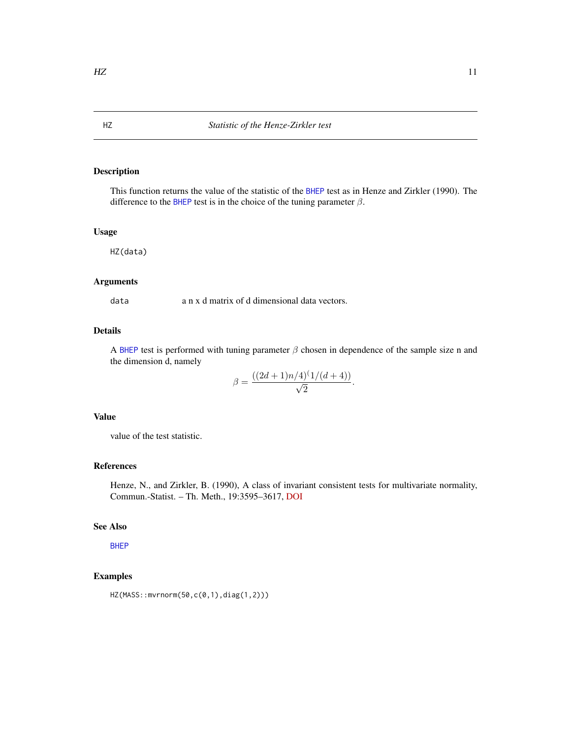This function returns the value of the statistic of the [BHEP](#page-2-1) test as in Henze and Zirkler (1990). The difference to the [BHEP](#page-2-1) test is in the choice of the tuning parameter  $\beta$ .

# Usage

HZ(data)

# Arguments

data a n x d matrix of d dimensional data vectors.

# Details

A [BHEP](#page-2-1) test is performed with tuning parameter  $\beta$  chosen in dependence of the sample size n and the dimension d, namely

$$
\beta = \frac{((2d+1)n/4)^{(1/(d+4))}}{\sqrt{2}}.
$$

#### Value

value of the test statistic.

# References

Henze, N., and Zirkler, B. (1990), A class of invariant consistent tests for multivariate normality, Commun.-Statist. – Th. Meth., 19:3595–3617, [DOI](https://doi.org/10.1080/03610929008830400)

#### See Also

[BHEP](#page-2-1)

# Examples

HZ(MASS::mvrnorm(50,c(0,1),diag(1,2)))

<span id="page-10-1"></span><span id="page-10-0"></span>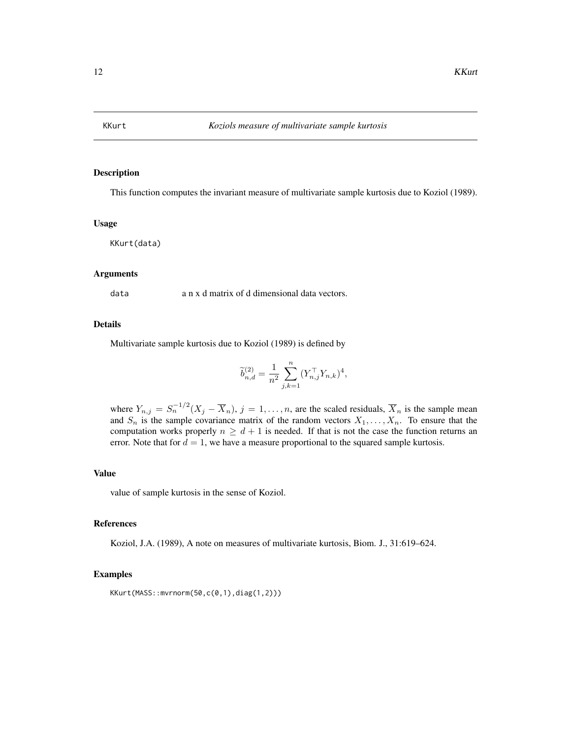<span id="page-11-1"></span><span id="page-11-0"></span>

This function computes the invariant measure of multivariate sample kurtosis due to Koziol (1989).

#### Usage

KKurt(data)

#### Arguments

data a n x d matrix of d dimensional data vectors.

# Details

Multivariate sample kurtosis due to Koziol (1989) is defined by

$$
\widetilde{b}_{n,d}^{(2)} = \frac{1}{n^2} \sum_{j,k=1}^n (Y_{n,j}^\top Y_{n,k})^4,
$$

where  $Y_{n,j} = S_n^{-1/2} (X_j - \overline{X}_n)$ ,  $j = 1, ..., n$ , are the scaled residuals,  $\overline{X}_n$  is the sample mean and  $S_n$  is the sample covariance matrix of the random vectors  $X_1, \ldots, X_n$ . To ensure that the computation works properly  $n \geq d + 1$  is needed. If that is not the case the function returns an error. Note that for  $d = 1$ , we have a measure proportional to the squared sample kurtosis.

# Value

value of sample kurtosis in the sense of Koziol.

#### References

Koziol, J.A. (1989), A note on measures of multivariate kurtosis, Biom. J., 31:619–624.

# Examples

KKurt(MASS::mvrnorm(50,c(0,1),diag(1,2)))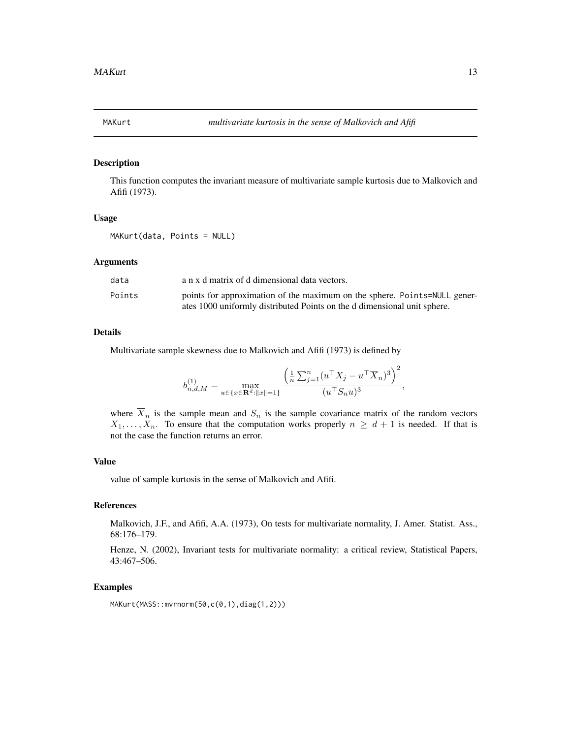<span id="page-12-1"></span><span id="page-12-0"></span>

This function computes the invariant measure of multivariate sample kurtosis due to Malkovich and Afifi (1973).

#### Usage

MAKurt(data, Points = NULL)

#### Arguments

| data   | a n x d matrix of d dimensional data vectors.                                                                                                         |
|--------|-------------------------------------------------------------------------------------------------------------------------------------------------------|
| Points | points for approximation of the maximum on the sphere. Points=NULL gener-<br>ates 1000 uniformly distributed Points on the d dimensional unit sphere. |

# Details

Multivariate sample skewness due to Malkovich and Afifi (1973) is defined by

$$
b_{n,d,M}^{(1)} = \max_{u \in \{x \in \mathbf{R}^d: ||x|| = 1\}} \frac{\left(\frac{1}{n} \sum_{j=1}^n (u^\top X_j - u^\top \overline{X}_n)^3\right)^2}{(u^\top S_n u)^3},
$$

where  $\overline{X}_n$  is the sample mean and  $S_n$  is the sample covariance matrix of the random vectors  $X_1, \ldots, X_n$ . To ensure that the computation works properly  $n \geq d+1$  is needed. If that is not the case the function returns an error.

# Value

value of sample kurtosis in the sense of Malkovich and Afifi.

# References

Malkovich, J.F., and Afifi, A.A. (1973), On tests for multivariate normality, J. Amer. Statist. Ass., 68:176–179.

Henze, N. (2002), Invariant tests for multivariate normality: a critical review, Statistical Papers, 43:467–506.

#### Examples

MAKurt(MASS::mvrnorm(50,c(0,1),diag(1,2)))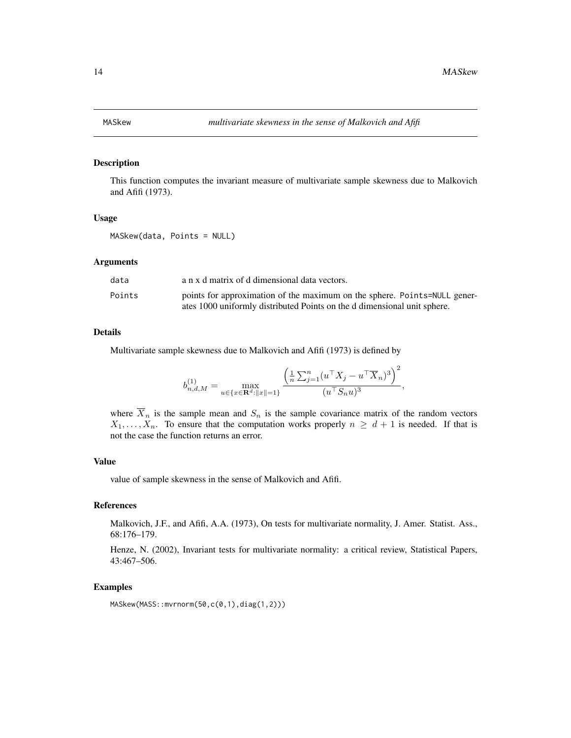<span id="page-13-1"></span><span id="page-13-0"></span>

This function computes the invariant measure of multivariate sample skewness due to Malkovich and Afifi (1973).

#### Usage

MASkew(data, Points = NULL)

#### Arguments

| data   | a n x d matrix of d dimensional data vectors.                                                                                                         |
|--------|-------------------------------------------------------------------------------------------------------------------------------------------------------|
| Points | points for approximation of the maximum on the sphere. Points=NULL gener-<br>ates 1000 uniformly distributed Points on the d dimensional unit sphere. |

## Details

Multivariate sample skewness due to Malkovich and Afifi (1973) is defined by

$$
b_{n,d,M}^{(1)} = \max_{u \in \{x \in \mathbf{R}^d: ||x|| = 1\}} \frac{\left(\frac{1}{n} \sum_{j=1}^n (u^\top X_j - u^\top \overline{X}_n)^3\right)^2}{(u^\top S_n u)^3},
$$

where  $\overline{X}_n$  is the sample mean and  $S_n$  is the sample covariance matrix of the random vectors  $X_1, \ldots, X_n$ . To ensure that the computation works properly  $n \geq d+1$  is needed. If that is not the case the function returns an error.

# Value

value of sample skewness in the sense of Malkovich and Afifi.

#### References

Malkovich, J.F., and Afifi, A.A. (1973), On tests for multivariate normality, J. Amer. Statist. Ass., 68:176–179.

Henze, N. (2002), Invariant tests for multivariate normality: a critical review, Statistical Papers, 43:467–506.

#### Examples

MASkew(MASS::mvrnorm(50,c(0,1),diag(1,2)))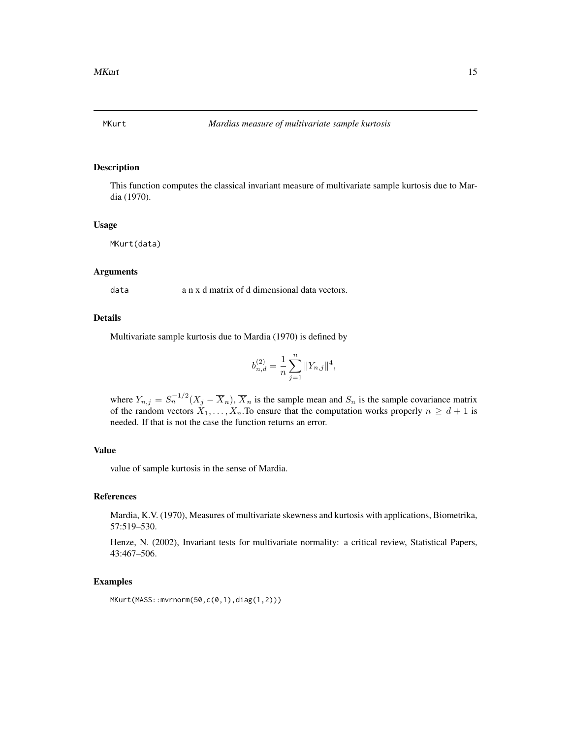<span id="page-14-1"></span><span id="page-14-0"></span>

This function computes the classical invariant measure of multivariate sample kurtosis due to Mardia (1970).

# Usage

MKurt(data)

# Arguments

data a n x d matrix of d dimensional data vectors.

# Details

Multivariate sample kurtosis due to Mardia (1970) is defined by

$$
b_{n,d}^{(2)} = \frac{1}{n} \sum_{j=1}^{n} ||Y_{n,j}||^4,
$$

where  $Y_{n,j} = S_n^{-1/2} (X_j - \overline{X}_n)$ ,  $\overline{X}_n$  is the sample mean and  $S_n$  is the sample covariance matrix of the random vectors  $X_1, \ldots, X_n$ . To ensure that the computation works properly  $n \geq d+1$  is needed. If that is not the case the function returns an error.

# Value

value of sample kurtosis in the sense of Mardia.

#### References

Mardia, K.V. (1970), Measures of multivariate skewness and kurtosis with applications, Biometrika, 57:519–530.

Henze, N. (2002), Invariant tests for multivariate normality: a critical review, Statistical Papers, 43:467–506.

#### Examples

MKurt(MASS::mvrnorm(50,c(0,1),diag(1,2)))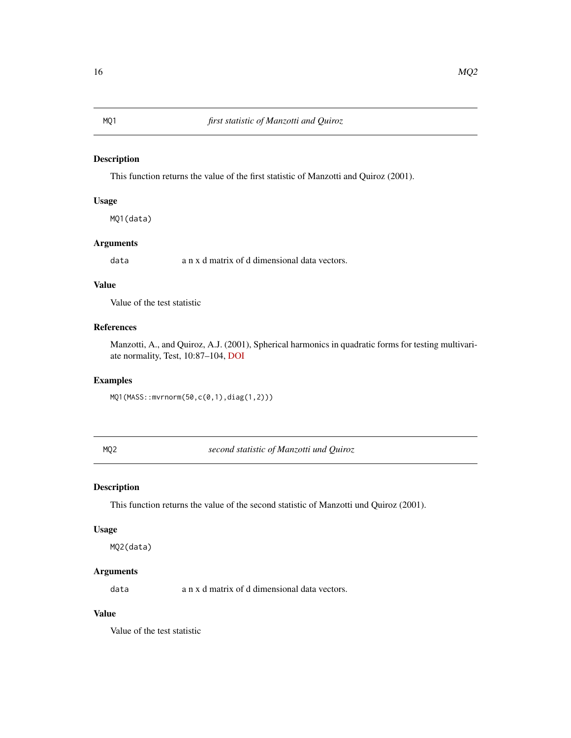<span id="page-15-1"></span><span id="page-15-0"></span>This function returns the value of the first statistic of Manzotti and Quiroz (2001).

#### Usage

MQ1(data)

# Arguments

data a n x d matrix of d dimensional data vectors.

#### Value

Value of the test statistic

#### References

Manzotti, A., and Quiroz, A.J. (2001), Spherical harmonics in quadratic forms for testing multivariate normality, Test, 10:87–104, [DOI](https://doi.org/10.1007/BF02595825)

# Examples

MQ1(MASS::mvrnorm(50,c(0,1),diag(1,2)))

<span id="page-15-2"></span>MQ2 *second statistic of Manzotti und Quiroz*

# Description

This function returns the value of the second statistic of Manzotti und Quiroz (2001).

#### Usage

MQ2(data)

# Arguments

data a n x d matrix of d dimensional data vectors.

# Value

Value of the test statistic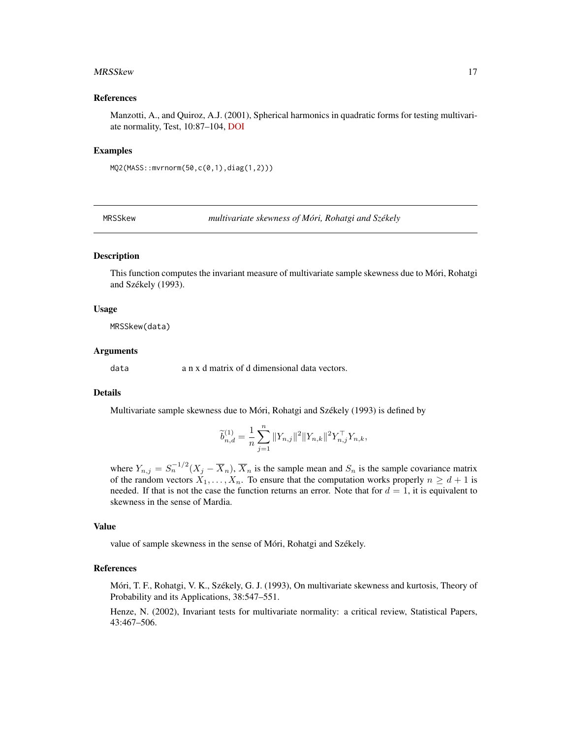#### <span id="page-16-0"></span>MRSSkew 17

#### References

Manzotti, A., and Quiroz, A.J. (2001), Spherical harmonics in quadratic forms for testing multivariate normality, Test, 10:87–104, [DOI](https://doi.org/10.1007/BF02595825)

#### Examples

MQ2(MASS::mvrnorm(50,c(0,1),diag(1,2)))

<span id="page-16-1"></span>MRSSkew *multivariate skewness of Móri, Rohatgi and Székely*

# Description

This function computes the invariant measure of multivariate sample skewness due to Móri, Rohatgi and Székely (1993).

#### Usage

MRSSkew(data)

#### Arguments

data a n x d matrix of d dimensional data vectors.

#### Details

Multivariate sample skewness due to Móri, Rohatgi and Székely (1993) is defined by

$$
\widetilde{b}_{n,d}^{(1)} = \frac{1}{n} \sum_{j=1}^{n} ||Y_{n,j}||^2 ||Y_{n,k}||^2 Y_{n,j}^\top Y_{n,k},
$$

where  $Y_{n,j} = S_n^{-1/2} (X_j - \overline{X}_n)$ ,  $\overline{X}_n$  is the sample mean and  $S_n$  is the sample covariance matrix of the random vectors  $X_1, \ldots, X_n$ . To ensure that the computation works properly  $n \geq d+1$  is needed. If that is not the case the function returns an error. Note that for  $d = 1$ , it is equivalent to skewness in the sense of Mardia.

#### Value

value of sample skewness in the sense of Móri, Rohatgi and Székely.

# References

Móri, T. F., Rohatgi, V. K., Székely, G. J. (1993), On multivariate skewness and kurtosis, Theory of Probability and its Applications, 38:547–551.

Henze, N. (2002), Invariant tests for multivariate normality: a critical review, Statistical Papers, 43:467–506.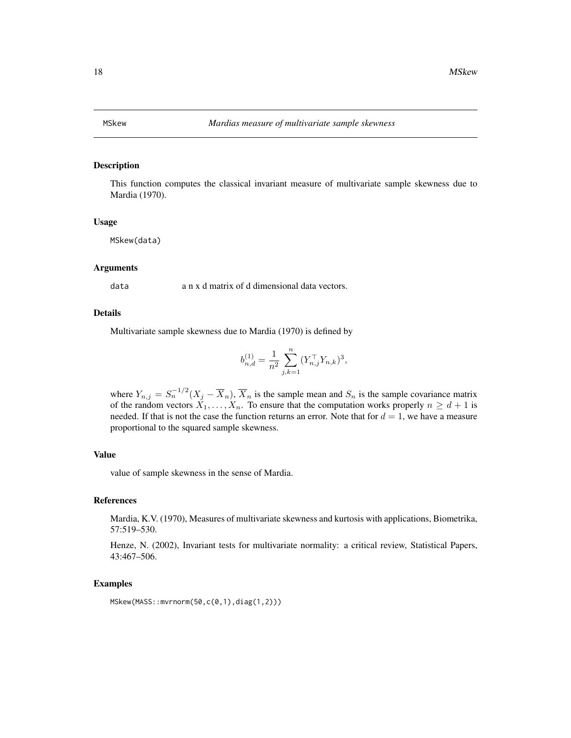<span id="page-17-1"></span><span id="page-17-0"></span>

This function computes the classical invariant measure of multivariate sample skewness due to Mardia (1970).

### Usage

MSkew(data)

#### Arguments

data a n x d matrix of d dimensional data vectors.

# Details

Multivariate sample skewness due to Mardia (1970) is defined by

$$
b_{n,d}^{(1)} = \frac{1}{n^2} \sum_{j,k=1}^n (Y_{n,j}^\top Y_{n,k})^3,
$$

where  $Y_{n,j} = S_n^{-1/2} (X_j - \overline{X}_n)$ ,  $\overline{X}_n$  is the sample mean and  $S_n$  is the sample covariance matrix of the random vectors  $X_1, \ldots, X_n$ . To ensure that the computation works properly  $n \geq d+1$  is needed. If that is not the case the function returns an error. Note that for  $d = 1$ , we have a measure proportional to the squared sample skewness.

#### Value

value of sample skewness in the sense of Mardia.

#### References

Mardia, K.V. (1970), Measures of multivariate skewness and kurtosis with applications, Biometrika, 57:519–530.

Henze, N. (2002), Invariant tests for multivariate normality: a critical review, Statistical Papers, 43:467–506.

# Examples

MSkew(MASS::mvrnorm(50,c(0,1),diag(1,2)))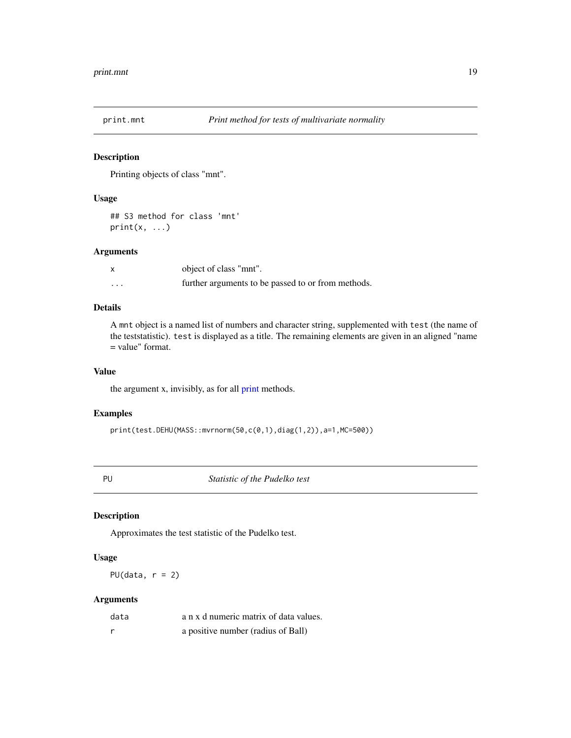<span id="page-18-0"></span>

Printing objects of class "mnt".

# Usage

## S3 method for class 'mnt'  $print(x, \ldots)$ 

# Arguments

|         | object of class "mnt".                             |
|---------|----------------------------------------------------|
| $\cdot$ | further arguments to be passed to or from methods. |

# Details

A mnt object is a named list of numbers and character string, supplemented with test (the name of the teststatistic). test is displayed as a title. The remaining elements are given in an aligned "name = value" format.

# Value

the argument x, invisibly, as for all [print](#page-0-0) methods.

#### Examples

print(test.DEHU(MASS::mvrnorm(50,c(0,1),diag(1,2)),a=1,MC=500))

<span id="page-18-1"></span>PU *Statistic of the Pudelko test*

# Description

Approximates the test statistic of the Pudelko test.

#### Usage

PU(data,  $r = 2$ )

# Arguments

| data | a n x d numeric matrix of data values. |
|------|----------------------------------------|
|      | a positive number (radius of Ball)     |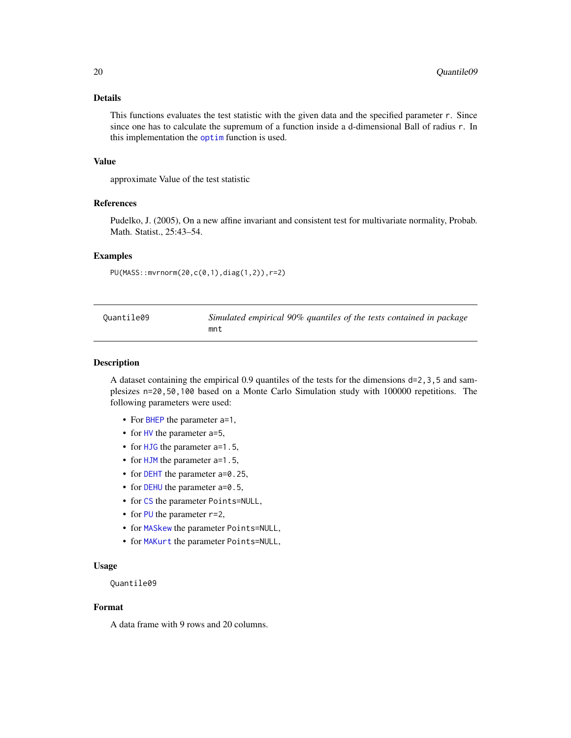# <span id="page-19-0"></span>Details

This functions evaluates the test statistic with the given data and the specified parameter r. Since since one has to calculate the supremum of a function inside a d-dimensional Ball of radius r. In this implementation the [optim](#page-0-0) function is used.

#### Value

approximate Value of the test statistic

# References

Pudelko, J. (2005), On a new affine invariant and consistent test for multivariate normality, Probab. Math. Statist., 25:43–54.

# Examples

PU(MASS::mvrnorm(20,c(0,1),diag(1,2)),r=2)

| Quantile09 | Simulated empirical 90% quantiles of the tests contained in package |
|------------|---------------------------------------------------------------------|
|            | mnt                                                                 |

#### Description

A dataset containing the empirical 0.9 quantiles of the tests for the dimensions d=2,3,5 and samplesizes n=20,50,100 based on a Monte Carlo Simulation study with 100000 repetitions. The following parameters were used:

- For [BHEP](#page-2-1) the parameter a=1,
- for [HV](#page-9-1) the parameter a=5,
- for [HJG](#page-7-1) the parameter a=1.5,
- for [HJM](#page-8-1) the parameter a=1.5,
- for [DEHT](#page-5-1) the parameter a=0.25,
- for [DEHU](#page-6-1) the parameter a=0.5,
- for [CS](#page-3-1) the parameter Points=NULL,
- for [PU](#page-18-1) the parameter  $r=2$ ,
- for [MASkew](#page-13-1) the parameter Points=NULL,
- for [MAKurt](#page-12-1) the parameter Points=NULL,

#### Usage

Quantile09

#### Format

A data frame with 9 rows and 20 columns.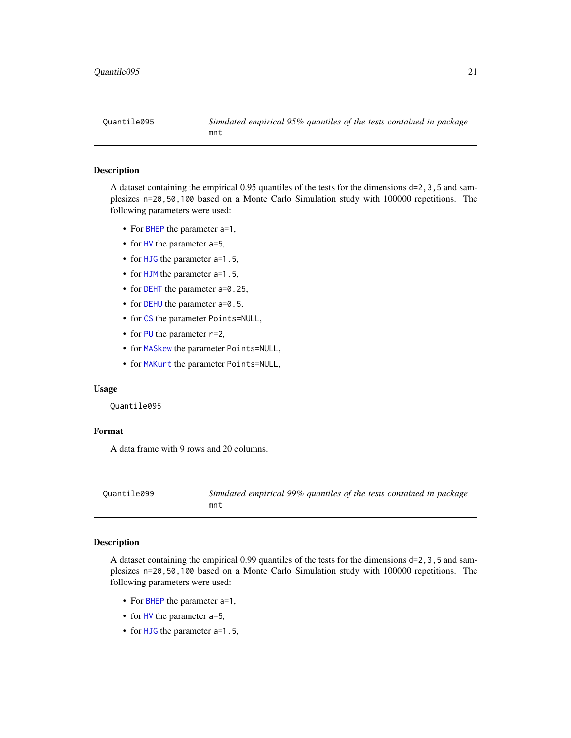<span id="page-20-0"></span>

A dataset containing the empirical 0.95 quantiles of the tests for the dimensions d=2,3,5 and samplesizes n=20,50,100 based on a Monte Carlo Simulation study with 100000 repetitions. The following parameters were used:

- For [BHEP](#page-2-1) the parameter a=1,
- for [HV](#page-9-1) the parameter a=5,
- for [HJG](#page-7-1) the parameter a=1.5,
- for [HJM](#page-8-1) the parameter a=1.5,
- for [DEHT](#page-5-1) the parameter a=0.25,
- for [DEHU](#page-6-1) the parameter a=0.5,
- for [CS](#page-3-1) the parameter Points=NULL,
- for [PU](#page-18-1) the parameter  $r=2$ ,
- for [MASkew](#page-13-1) the parameter Points=NULL,
- for [MAKurt](#page-12-1) the parameter Points=NULL,

#### Usage

Quantile095

# Format

A data frame with 9 rows and 20 columns.

Quantile099 *Simulated empirical 99% quantiles of the tests contained in package* mnt

#### Description

A dataset containing the empirical 0.99 quantiles of the tests for the dimensions  $d=2,3,5$  and samplesizes n=20,50,100 based on a Monte Carlo Simulation study with 100000 repetitions. The following parameters were used:

- For [BHEP](#page-2-1) the parameter a=1,
- for [HV](#page-9-1) the parameter a=5,
- for [HJG](#page-7-1) the parameter a=1.5,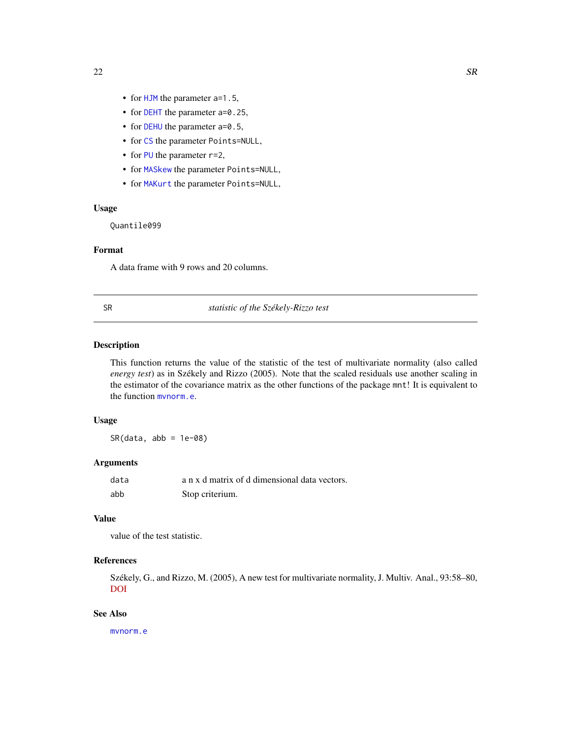- <span id="page-21-0"></span>• for [HJM](#page-8-1) the parameter a=1.5,
- for [DEHT](#page-5-1) the parameter a=0.25,
- for [DEHU](#page-6-1) the parameter a=0.5,
- for [CS](#page-3-1) the parameter Points=NULL,
- for [PU](#page-18-1) the parameter  $r=2$ ,
- for [MASkew](#page-13-1) the parameter Points=NULL,
- for [MAKurt](#page-12-1) the parameter Points=NULL,

#### Usage

Quantile099

# Format

A data frame with 9 rows and 20 columns.

# <span id="page-21-1"></span>SR *statistic of the Székely-Rizzo test*

# Description

This function returns the value of the statistic of the test of multivariate normality (also called *energy test*) as in Székely and Rizzo (2005). Note that the scaled residuals use another scaling in the estimator of the covariance matrix as the other functions of the package mnt! It is equivalent to the function [mvnorm.e](#page-0-0).

# Usage

 $SR(data, abb = 1e-08)$ 

#### Arguments

| data | a n x d matrix of d dimensional data vectors. |
|------|-----------------------------------------------|
| abb  | Stop criterium.                               |

# Value

value of the test statistic.

#### References

Székely, G., and Rizzo, M. (2005), A new test for multivariate normality, J. Multiv. Anal., 93:58–80, [DOI](https://doi.org/10.1016/j.jmva.2003.12.002)

# See Also

[mvnorm.e](#page-0-0)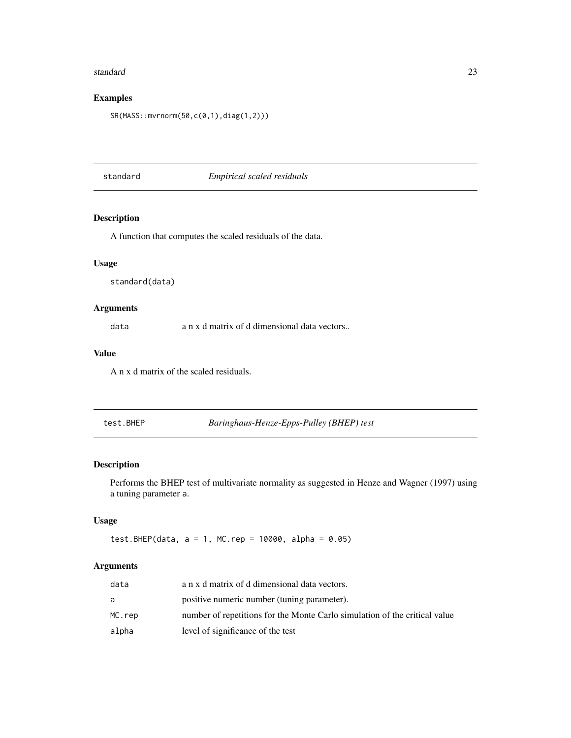#### <span id="page-22-0"></span>standard 23

# Examples

SR(MASS::mvrnorm(50,c(0,1),diag(1,2)))

standard *Empirical scaled residuals*

# Description

A function that computes the scaled residuals of the data.

## Usage

standard(data)

# Arguments

data a n x d matrix of d dimensional data vectors..

# Value

A n x d matrix of the scaled residuals.

test.BHEP *Baringhaus-Henze-Epps-Pulley (BHEP) test*

#### Description

Performs the BHEP test of multivariate normality as suggested in Henze and Wagner (1997) using a tuning parameter a.

# Usage

test.BHEP(data,  $a = 1$ , MC.rep = 10000, alpha = 0.05)

# Arguments

| data   | a n x d matrix of d dimensional data vectors.                              |
|--------|----------------------------------------------------------------------------|
| a      | positive numeric number (tuning parameter).                                |
| MC.rep | number of repetitions for the Monte Carlo simulation of the critical value |
| alpha  | level of significance of the test                                          |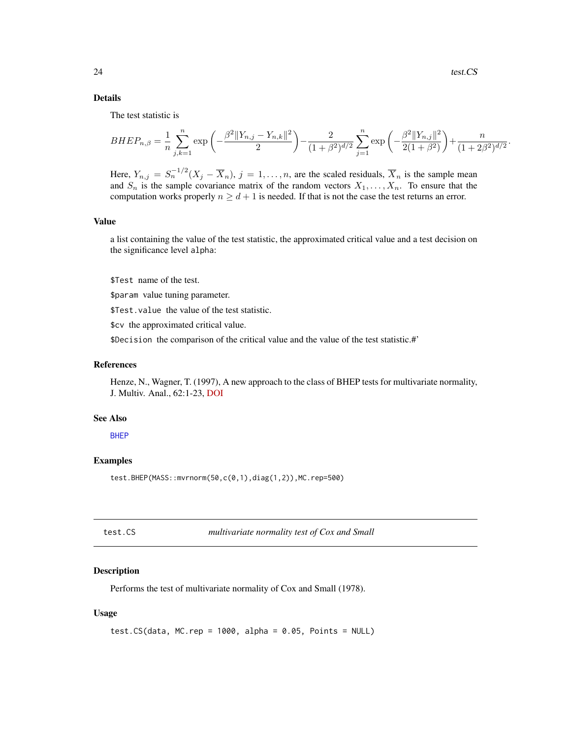.

# <span id="page-23-0"></span>Details

The test statistic is

$$
BHEP_{n,\beta} = \frac{1}{n} \sum_{j,k=1}^{n} \exp\left(-\frac{\beta^2 ||Y_{n,j} - Y_{n,k}||^2}{2}\right) - \frac{2}{(1+\beta^2)^{d/2}} \sum_{j=1}^{n} \exp\left(-\frac{\beta^2 ||Y_{n,j}||^2}{2(1+\beta^2)}\right) + \frac{n}{(1+2\beta^2)^{d/2}}
$$

Here,  $Y_{n,j} = S_n^{-1/2} (X_j - \overline{X}_n)$ ,  $j = 1, ..., n$ , are the scaled residuals,  $\overline{X}_n$  is the sample mean and  $S_n$  is the sample covariance matrix of the random vectors  $X_1, \ldots, X_n$ . To ensure that the computation works properly  $n \geq d + 1$  is needed. If that is not the case the test returns an error.

#### Value

a list containing the value of the test statistic, the approximated critical value and a test decision on the significance level alpha:

\$Test name of the test.

\$param value tuning parameter.

\$Test.value the value of the test statistic.

\$cv the approximated critical value.

\$Decision the comparison of the critical value and the value of the test statistic.#'

# References

Henze, N., Wagner, T. (1997), A new approach to the class of BHEP tests for multivariate normality, J. Multiv. Anal., 62:1-23, [DOI](https://doi.org/10.1006/jmva.1997.1684)

#### See Also

**[BHEP](#page-2-1)** 

# Examples

test.BHEP(MASS::mvrnorm(50,c(0,1),diag(1,2)),MC.rep=500)

test.CS *multivariate normality test of Cox and Small*

#### Description

Performs the test of multivariate normality of Cox and Small (1978).

#### Usage

test.CS(data, MC.rep =  $1000$ , alpha =  $0.05$ , Points = NULL)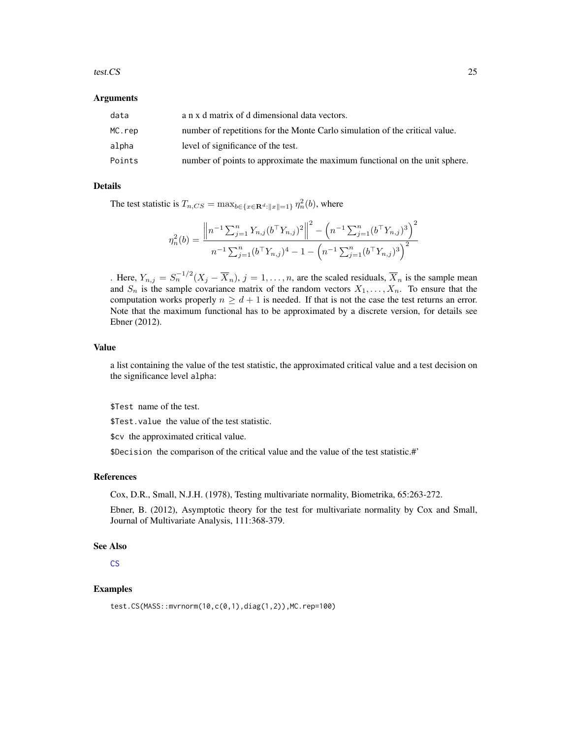#### <span id="page-24-0"></span>test.CS 25

#### Arguments

| data   | a n x d matrix of d dimensional data vectors.                               |
|--------|-----------------------------------------------------------------------------|
| MC.rep | number of repetitions for the Monte Carlo simulation of the critical value. |
| alpha  | level of significance of the test.                                          |
| Points | number of points to approximate the maximum functional on the unit sphere.  |

# Details

The test statistic is  $T_{n,CS} = \max_{b \in \{x \in \mathbf{R}^d : ||x|| = 1\}} \eta_n^2(b)$ , where

$$
\eta_n^2(b) = \frac{\left\|n^{-1} \sum_{j=1}^n Y_{n,j} (b^\top Y_{n,j})^2\right\|^2 - \left(n^{-1} \sum_{j=1}^n (b^\top Y_{n,j})^3\right)^2}{n^{-1} \sum_{j=1}^n (b^\top Y_{n,j})^4 - 1 - \left(n^{-1} \sum_{j=1}^n (b^\top Y_{n,j})^3\right)^2}
$$

. Here,  $Y_{n,j} = S_n^{-1/2} (X_j - \overline{X}_n)$ ,  $j = 1, ..., n$ , are the scaled residuals,  $\overline{X}_n$  is the sample mean and  $S_n$  is the sample covariance matrix of the random vectors  $X_1, \ldots, X_n$ . To ensure that the computation works properly  $n \geq d+1$  is needed. If that is not the case the test returns an error. Note that the maximum functional has to be approximated by a discrete version, for details see Ebner (2012).

# Value

a list containing the value of the test statistic, the approximated critical value and a test decision on the significance level alpha:

\$Test name of the test.

\$Test.value the value of the test statistic.

\$cv the approximated critical value.

\$Decision the comparison of the critical value and the value of the test statistic.#'

#### References

Cox, D.R., Small, N.J.H. (1978), Testing multivariate normality, Biometrika, 65:263-272.

Ebner, B. (2012), Asymptotic theory for the test for multivariate normality by Cox and Small, Journal of Multivariate Analysis, 111:368-379.

# See Also

[CS](#page-3-1)

#### Examples

test.CS(MASS::mvrnorm(10,c(0,1),diag(1,2)),MC.rep=100)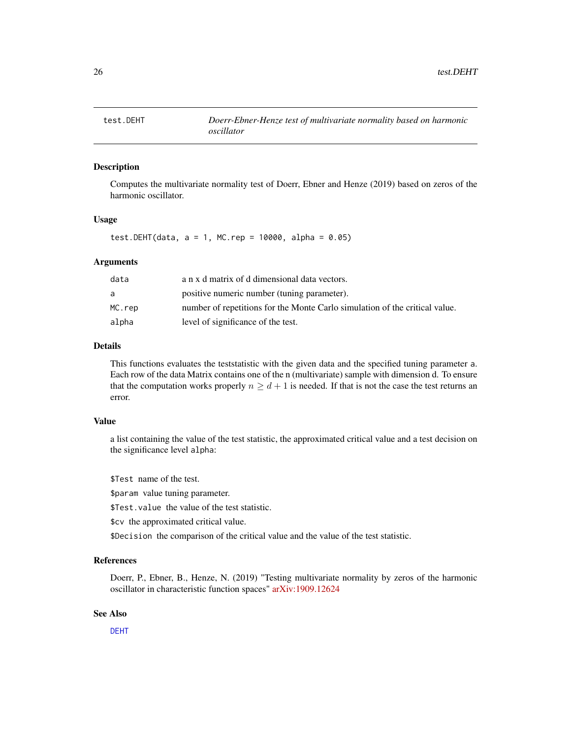<span id="page-25-0"></span>

Computes the multivariate normality test of Doerr, Ebner and Henze (2019) based on zeros of the harmonic oscillator.

# Usage

test.DEHT(data,  $a = 1$ , MC.rep = 10000, alpha = 0.05)

#### Arguments

| data   | a n x d matrix of d dimensional data vectors.                               |
|--------|-----------------------------------------------------------------------------|
| a      | positive numeric number (tuning parameter).                                 |
| MC.rep | number of repetitions for the Monte Carlo simulation of the critical value. |
| alpha  | level of significance of the test.                                          |

#### Details

This functions evaluates the teststatistic with the given data and the specified tuning parameter a. Each row of the data Matrix contains one of the n (multivariate) sample with dimension d. To ensure that the computation works properly  $n \geq d + 1$  is needed. If that is not the case the test returns an error.

# Value

a list containing the value of the test statistic, the approximated critical value and a test decision on the significance level alpha:

\$Test name of the test.

\$param value tuning parameter.

\$Test.value the value of the test statistic.

\$cv the approximated critical value.

\$Decision the comparison of the critical value and the value of the test statistic.

#### References

Doerr, P., Ebner, B., Henze, N. (2019) "Testing multivariate normality by zeros of the harmonic oscillator in characteristic function spaces" [arXiv:1909.12624](https://arxiv.org/abs/1909.12624)

# See Also

[DEHT](#page-5-1)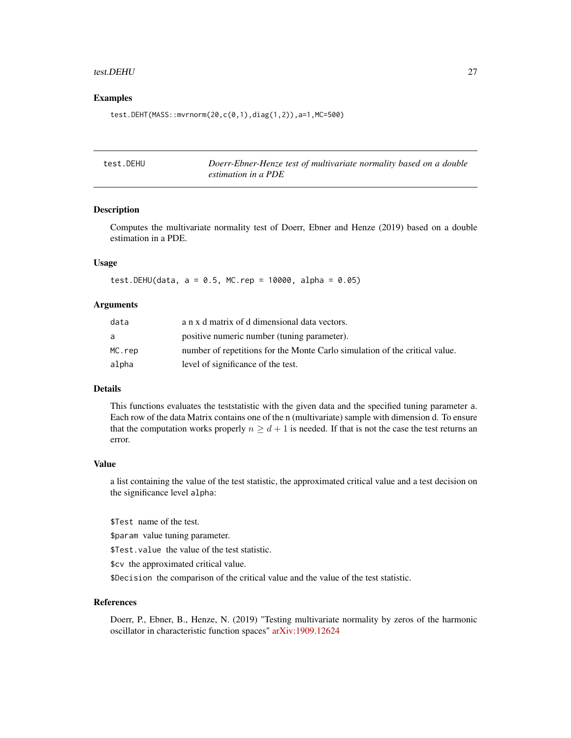#### <span id="page-26-0"></span>test.DEHU 27

#### Examples

test.DEHT(MASS::mvrnorm(20,c(0,1),diag(1,2)),a=1,MC=500)

| test.DEHU | Doerr-Ebner-Henze test of multivariate normality based on a double |
|-----------|--------------------------------------------------------------------|
|           | estimation in a PDE                                                |

# Description

Computes the multivariate normality test of Doerr, Ebner and Henze (2019) based on a double estimation in a PDE.

# Usage

test.DEHU(data,  $a = 0.5$ , MC.rep = 10000, alpha = 0.05)

#### Arguments

| data   | a n x d matrix of d dimensional data vectors.                               |
|--------|-----------------------------------------------------------------------------|
| a      | positive numeric number (tuning parameter).                                 |
| MC.rep | number of repetitions for the Monte Carlo simulation of the critical value. |
| alpha  | level of significance of the test.                                          |

# Details

This functions evaluates the teststatistic with the given data and the specified tuning parameter a. Each row of the data Matrix contains one of the n (multivariate) sample with dimension d. To ensure that the computation works properly  $n \geq d + 1$  is needed. If that is not the case the test returns an error.

#### Value

a list containing the value of the test statistic, the approximated critical value and a test decision on the significance level alpha:

\$Test name of the test.

\$param value tuning parameter.

\$Test.value the value of the test statistic.

\$cv the approximated critical value.

\$Decision the comparison of the critical value and the value of the test statistic.

#### References

Doerr, P., Ebner, B., Henze, N. (2019) "Testing multivariate normality by zeros of the harmonic oscillator in characteristic function spaces" [arXiv:1909.12624](https://arxiv.org/abs/1909.12624)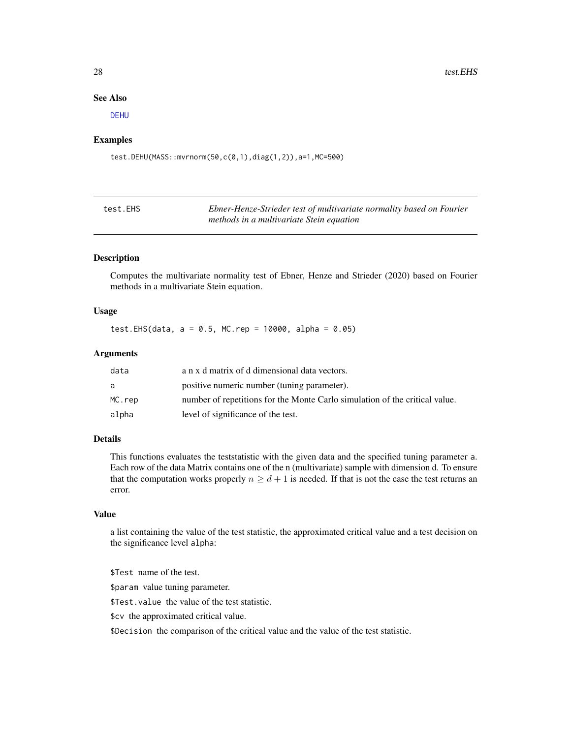#### See Also

[DEHU](#page-6-1)

#### Examples

test.DEHU(MASS::mvrnorm(50,c(0,1),diag(1,2)),a=1,MC=500)

| test.EHS | Ebner-Henze-Strieder test of multivariate normality based on Fourier |
|----------|----------------------------------------------------------------------|
|          | methods in a multivariate Stein equation                             |

#### Description

Computes the multivariate normality test of Ebner, Henze and Strieder (2020) based on Fourier methods in a multivariate Stein equation.

# Usage

test.EHS(data,  $a = 0.5$ , MC.rep = 10000, alpha = 0.05)

# Arguments

| data   | a n x d matrix of d dimensional data vectors.                               |
|--------|-----------------------------------------------------------------------------|
| a      | positive numeric number (tuning parameter).                                 |
| MC.rep | number of repetitions for the Monte Carlo simulation of the critical value. |
| alpha  | level of significance of the test.                                          |

# Details

This functions evaluates the teststatistic with the given data and the specified tuning parameter a. Each row of the data Matrix contains one of the n (multivariate) sample with dimension d. To ensure that the computation works properly  $n \geq d+1$  is needed. If that is not the case the test returns an error.

# Value

a list containing the value of the test statistic, the approximated critical value and a test decision on the significance level alpha:

\$Test name of the test. \$param value tuning parameter. \$Test.value the value of the test statistic. \$cv the approximated critical value.

\$Decision the comparison of the critical value and the value of the test statistic.

<span id="page-27-0"></span>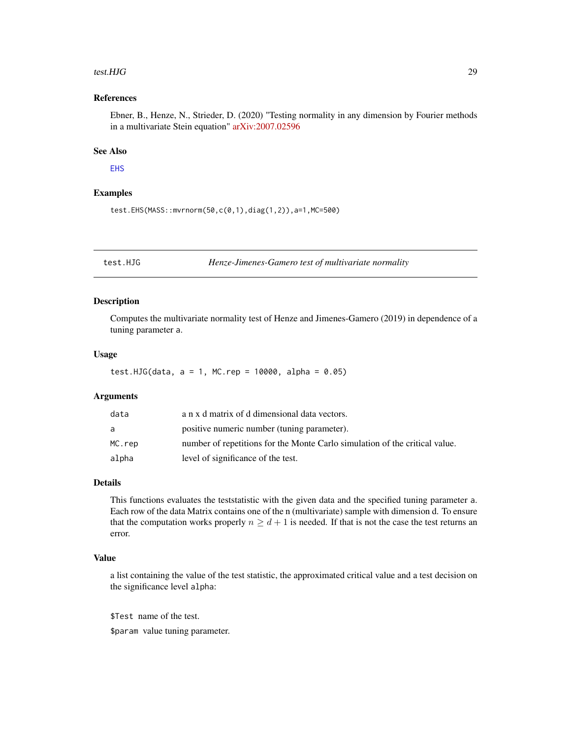#### <span id="page-28-0"></span>test.HJG 29

# References

Ebner, B., Henze, N., Strieder, D. (2020) "Testing normality in any dimension by Fourier methods in a multivariate Stein equation" [arXiv:2007.02596](https://arxiv.org/abs/2007.02596)

# See Also

# [EHS](#page-6-2)

# Examples

test.EHS(MASS::mvrnorm(50,c(0,1),diag(1,2)),a=1,MC=500)

test.HJG *Henze-Jimenes-Gamero test of multivariate normality*

#### Description

Computes the multivariate normality test of Henze and Jimenes-Gamero (2019) in dependence of a tuning parameter a.

# Usage

test.HJG(data,  $a = 1$ , MC.rep = 10000, alpha = 0.05)

#### Arguments

| data   | a n x d matrix of d dimensional data vectors.                               |
|--------|-----------------------------------------------------------------------------|
| a      | positive numeric number (tuning parameter).                                 |
| MC.rep | number of repetitions for the Monte Carlo simulation of the critical value. |
| alpha  | level of significance of the test.                                          |

# Details

This functions evaluates the teststatistic with the given data and the specified tuning parameter a. Each row of the data Matrix contains one of the n (multivariate) sample with dimension d. To ensure that the computation works properly  $n \geq d+1$  is needed. If that is not the case the test returns an error.

# Value

a list containing the value of the test statistic, the approximated critical value and a test decision on the significance level alpha:

\$Test name of the test.

\$param value tuning parameter.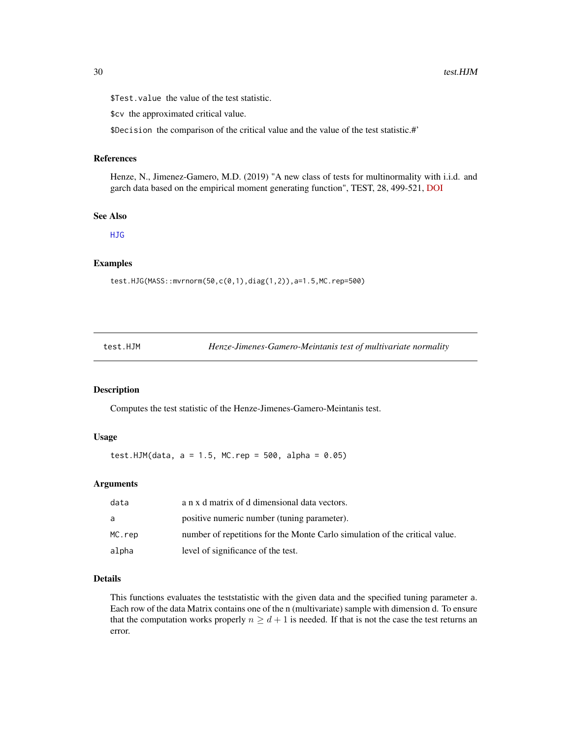<span id="page-29-0"></span>\$Test.value the value of the test statistic.

\$cv the approximated critical value.

\$Decision the comparison of the critical value and the value of the test statistic.#'

# References

Henze, N., Jimenez-Gamero, M.D. (2019) "A new class of tests for multinormality with i.i.d. and garch data based on the empirical moment generating function", TEST, 28, 499-521, [DOI](https://doi.org/10.1007/s11749-018-0589-z)

#### See Also

[HJG](#page-7-1)

#### Examples

test.HJG(MASS::mvrnorm(50,c(0,1),diag(1,2)),a=1.5,MC.rep=500)

|  | test.HJM |  |  |  |  |
|--|----------|--|--|--|--|
|--|----------|--|--|--|--|

Henze-Jimenes-Gamero-Meintanis test of multivariate normality

# Description

Computes the test statistic of the Henze-Jimenes-Gamero-Meintanis test.

# Usage

test.HJM(data,  $a = 1.5$ , MC.rep = 500, alpha = 0.05)

# Arguments

| data   | a n x d matrix of d dimensional data vectors.                               |
|--------|-----------------------------------------------------------------------------|
| a      | positive numeric number (tuning parameter).                                 |
| MC.rep | number of repetitions for the Monte Carlo simulation of the critical value. |
| alpha  | level of significance of the test.                                          |

# Details

This functions evaluates the teststatistic with the given data and the specified tuning parameter a. Each row of the data Matrix contains one of the n (multivariate) sample with dimension d. To ensure that the computation works properly  $n \geq d+1$  is needed. If that is not the case the test returns an error.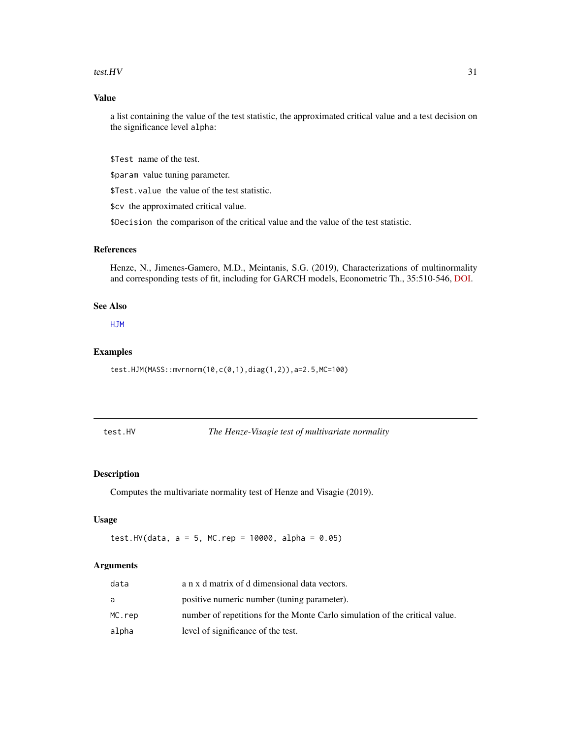#### <span id="page-30-0"></span>test. HV  $\sim$  31

# Value

a list containing the value of the test statistic, the approximated critical value and a test decision on the significance level alpha:

\$Test name of the test.

\$param value tuning parameter.

\$Test.value the value of the test statistic.

\$cv the approximated critical value.

\$Decision the comparison of the critical value and the value of the test statistic.

# References

Henze, N., Jimenes-Gamero, M.D., Meintanis, S.G. (2019), Characterizations of multinormality and corresponding tests of fit, including for GARCH models, Econometric Th., 35:510-546, [DOI.](https://doi.org/10.1017/S0266466618000154)

#### See Also

[HJM](#page-8-1)

# Examples

test.HJM(MASS::mvrnorm(10,c(0,1),diag(1,2)),a=2.5,MC=100)

test.HV *The Henze-Visagie test of multivariate normality*

# Description

Computes the multivariate normality test of Henze and Visagie (2019).

# Usage

test.HV(data,  $a = 5$ , MC.rep = 10000, alpha = 0.05)

#### Arguments

| data   | a n x d matrix of d dimensional data vectors.                               |
|--------|-----------------------------------------------------------------------------|
| a      | positive numeric number (tuning parameter).                                 |
| MC.rep | number of repetitions for the Monte Carlo simulation of the critical value. |
| alpha  | level of significance of the test.                                          |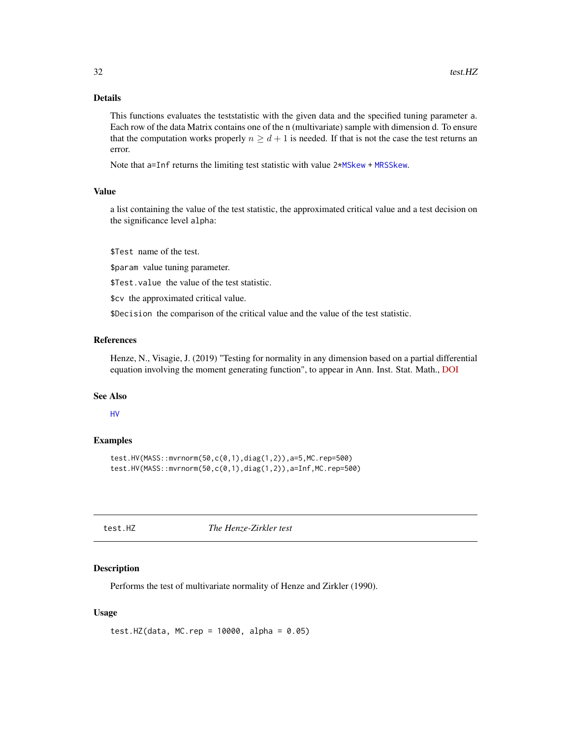# <span id="page-31-0"></span>Details

This functions evaluates the teststatistic with the given data and the specified tuning parameter a. Each row of the data Matrix contains one of the n (multivariate) sample with dimension d. To ensure that the computation works properly  $n \geq d+1$  is needed. If that is not the case the test returns an error.

Note that a=Inf returns the limiting test statistic with value 2[\\*MSkew](#page-17-1) + [MRSSkew](#page-16-1).

# Value

a list containing the value of the test statistic, the approximated critical value and a test decision on the significance level alpha:

\$Test name of the test.

\$param value tuning parameter.

\$Test.value the value of the test statistic.

\$cv the approximated critical value.

\$Decision the comparison of the critical value and the value of the test statistic.

# References

Henze, N., Visagie, J. (2019) "Testing for normality in any dimension based on a partial differential equation involving the moment generating function", to appear in Ann. Inst. Stat. Math., [DOI](https://doi.org/10.1007/s10463-019-00720-8)

# See Also

# [HV](#page-9-1)

# Examples

```
test.HV(MASS::mvrnorm(50,c(0,1),diag(1,2)),a=5,MC.rep=500)
test.HV(MASS::mvrnorm(50,c(0,1),diag(1,2)),a=Inf,MC.rep=500)
```
test.HZ *The Henze-Zirkler test*

#### Description

Performs the test of multivariate normality of Henze and Zirkler (1990).

#### Usage

test.HZ(data, MC.rep = 10000, alpha = 0.05)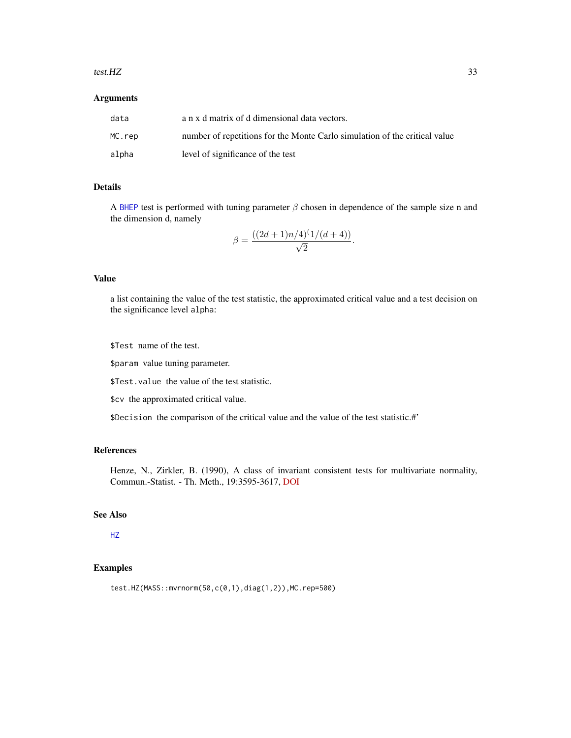#### <span id="page-32-0"></span>test.HZ 33

# Arguments

| data   | a n x d matrix of d dimensional data vectors.                              |
|--------|----------------------------------------------------------------------------|
| MC.rep | number of repetitions for the Monte Carlo simulation of the critical value |
| alpha  | level of significance of the test                                          |

# Details

A [BHEP](#page-2-1) test is performed with tuning parameter  $\beta$  chosen in dependence of the sample size n and the dimension d, namely

$$
\beta = \frac{((2d+1)n/4)^{(1/(d+4))}}{\sqrt{2}}.
$$

#### Value

a list containing the value of the test statistic, the approximated critical value and a test decision on the significance level alpha:

\$Test name of the test.

\$param value tuning parameter.

\$Test.value the value of the test statistic.

\$cv the approximated critical value.

\$Decision the comparison of the critical value and the value of the test statistic.#'

# References

Henze, N., Zirkler, B. (1990), A class of invariant consistent tests for multivariate normality, Commun.-Statist. - Th. Meth., 19:3595-3617, [DOI](https://doi.org/10.1080/03610929008830400)

# See Also

# [HZ](#page-10-1)

# Examples

test.HZ(MASS::mvrnorm(50,c(0,1),diag(1,2)),MC.rep=500)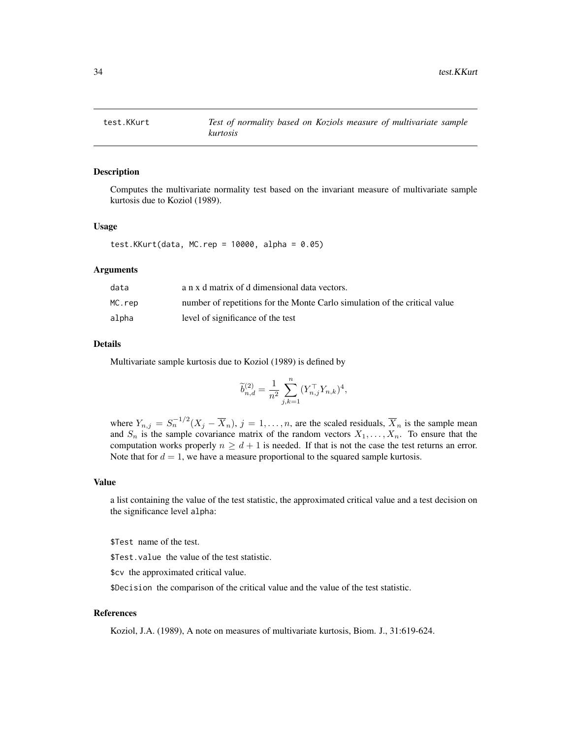<span id="page-33-0"></span>

Computes the multivariate normality test based on the invariant measure of multivariate sample kurtosis due to Koziol (1989).

#### Usage

test.KKurt(data, MC.rep = 10000, alpha = 0.05)

#### Arguments

| data   | a n x d matrix of d dimensional data vectors.                              |
|--------|----------------------------------------------------------------------------|
| MC.rep | number of repetitions for the Monte Carlo simulation of the critical value |
| alpha  | level of significance of the test                                          |

# Details

Multivariate sample kurtosis due to Koziol (1989) is defined by

$$
\widetilde{b}_{n,d}^{(2)} = \frac{1}{n^2} \sum_{j,k=1}^n (Y_{n,j}^\top Y_{n,k})^4,
$$

where  $Y_{n,j} = S_n^{-1/2} (X_j - \overline{X}_n)$ ,  $j = 1, \ldots, n$ , are the scaled residuals,  $\overline{X}_n$  is the sample mean and  $S_n$  is the sample covariance matrix of the random vectors  $X_1, \ldots, X_n$ . To ensure that the computation works properly  $n \geq d + 1$  is needed. If that is not the case the test returns an error. Note that for  $d = 1$ , we have a measure proportional to the squared sample kurtosis.

# Value

a list containing the value of the test statistic, the approximated critical value and a test decision on the significance level alpha:

\$Test name of the test.

\$Test.value the value of the test statistic.

\$cv the approximated critical value.

\$Decision the comparison of the critical value and the value of the test statistic.

# References

Koziol, J.A. (1989), A note on measures of multivariate kurtosis, Biom. J., 31:619-624.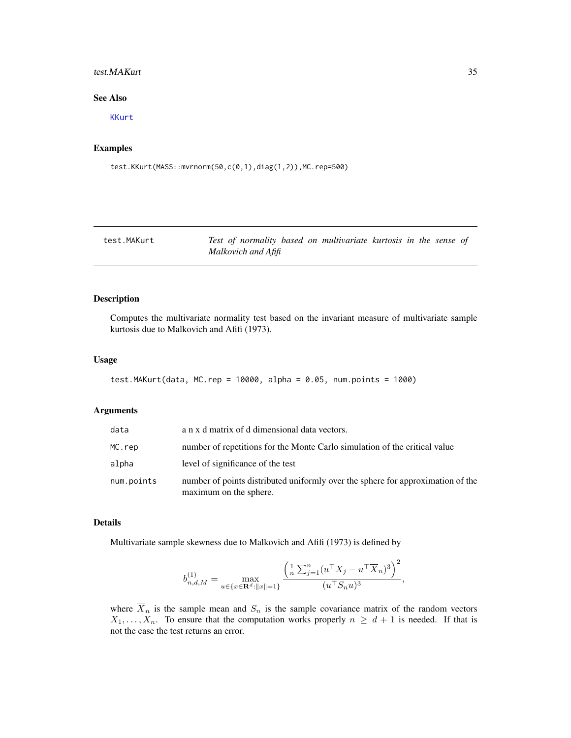# <span id="page-34-0"></span>test.MAKurt 35

#### See Also

[KKurt](#page-11-1)

# Examples

test.KKurt(MASS::mvrnorm(50,c(0,1),diag(1,2)),MC.rep=500)

| test.MAKurt | Test of normality based on multivariate kurtosis in the sense of |  |
|-------------|------------------------------------------------------------------|--|
|             | Malkovich and Afifi                                              |  |

# Description

Computes the multivariate normality test based on the invariant measure of multivariate sample kurtosis due to Malkovich and Afifi (1973).

# Usage

```
test.MAKurt(data, MC.rep = 10000, alpha = 0.05, num.points = 1000)
```
# Arguments

| data       | a n x d matrix of d dimensional data vectors.                                                             |
|------------|-----------------------------------------------------------------------------------------------------------|
| MC.rep     | number of repetitions for the Monte Carlo simulation of the critical value                                |
| alpha      | level of significance of the test                                                                         |
| num.points | number of points distributed uniformly over the sphere for approximation of the<br>maximum on the sphere. |

# Details

Multivariate sample skewness due to Malkovich and Afifi (1973) is defined by

$$
b_{n,d,M}^{(1)} = \max_{u \in \{x \in \mathbf{R}^d: ||x|| = 1\}} \frac{\left(\frac{1}{n} \sum_{j=1}^n (u^\top X_j - u^\top \overline{X}_n)^3\right)^2}{(u^\top S_n u)^3},
$$

where  $\overline{X}_n$  is the sample mean and  $S_n$  is the sample covariance matrix of the random vectors  $X_1, \ldots, X_n$ . To ensure that the computation works properly  $n \geq d+1$  is needed. If that is not the case the test returns an error.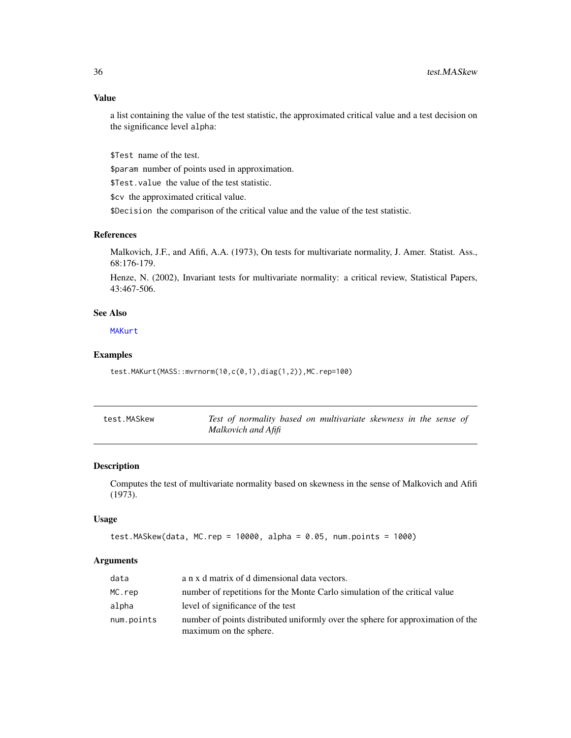<span id="page-35-0"></span>a list containing the value of the test statistic, the approximated critical value and a test decision on the significance level alpha:

\$Test name of the test.

\$param number of points used in approximation.

\$Test.value the value of the test statistic.

\$cv the approximated critical value.

\$Decision the comparison of the critical value and the value of the test statistic.

#### References

Malkovich, J.F., and Afifi, A.A. (1973), On tests for multivariate normality, J. Amer. Statist. Ass., 68:176-179.

Henze, N. (2002), Invariant tests for multivariate normality: a critical review, Statistical Papers, 43:467-506.

# See Also

**[MAKurt](#page-12-1)** 

# Examples

test.MAKurt(MASS::mvrnorm(10,c(0,1),diag(1,2)),MC.rep=100)

| test.MASkew | Test of normality based on multivariate skewness in the sense of |
|-------------|------------------------------------------------------------------|
|             | Malkovich and Afifi                                              |

# Description

Computes the test of multivariate normality based on skewness in the sense of Malkovich and Afifi (1973).

#### Usage

```
test.MASkew(data, MC.rep = 10000, alpha = 0.05, num.points = 1000)
```
#### Arguments

| data       | a n x d matrix of d dimensional data vectors.                                                             |
|------------|-----------------------------------------------------------------------------------------------------------|
| MC.rep     | number of repetitions for the Monte Carlo simulation of the critical value                                |
| alpha      | level of significance of the test                                                                         |
| num.points | number of points distributed uniformly over the sphere for approximation of the<br>maximum on the sphere. |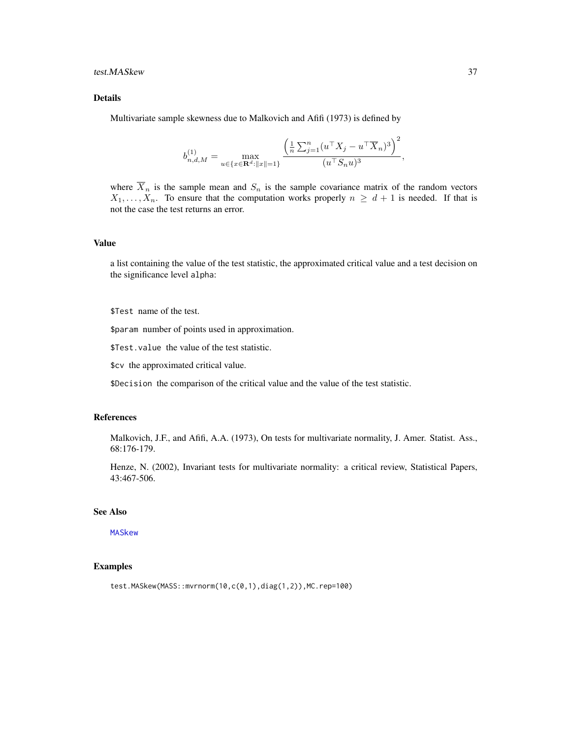# <span id="page-36-0"></span>test.MASkew 37

# Details

Multivariate sample skewness due to Malkovich and Afifi (1973) is defined by

$$
b_{n,d,M}^{(1)} = \max_{u \in \{x \in \mathbf{R}^d: ||x|| = 1\}} \frac{\left(\frac{1}{n} \sum_{j=1}^n (u^\top X_j - u^\top \overline{X}_n)^3\right)^2}{(u^\top S_n u)^3},
$$

where  $\overline{X}_n$  is the sample mean and  $S_n$  is the sample covariance matrix of the random vectors  $X_1, \ldots, X_n$ . To ensure that the computation works properly  $n \geq d+1$  is needed. If that is not the case the test returns an error.

#### Value

a list containing the value of the test statistic, the approximated critical value and a test decision on the significance level alpha:

\$Test name of the test.

\$param number of points used in approximation.

\$Test.value the value of the test statistic.

\$cv the approximated critical value.

\$Decision the comparison of the critical value and the value of the test statistic.

# References

Malkovich, J.F., and Afifi, A.A. (1973), On tests for multivariate normality, J. Amer. Statist. Ass., 68:176-179.

Henze, N. (2002), Invariant tests for multivariate normality: a critical review, Statistical Papers, 43:467-506.

# See Also

[MASkew](#page-13-1)

# Examples

```
test.MASkew(MASS::mvrnorm(10,c(0,1),diag(1,2)),MC.rep=100)
```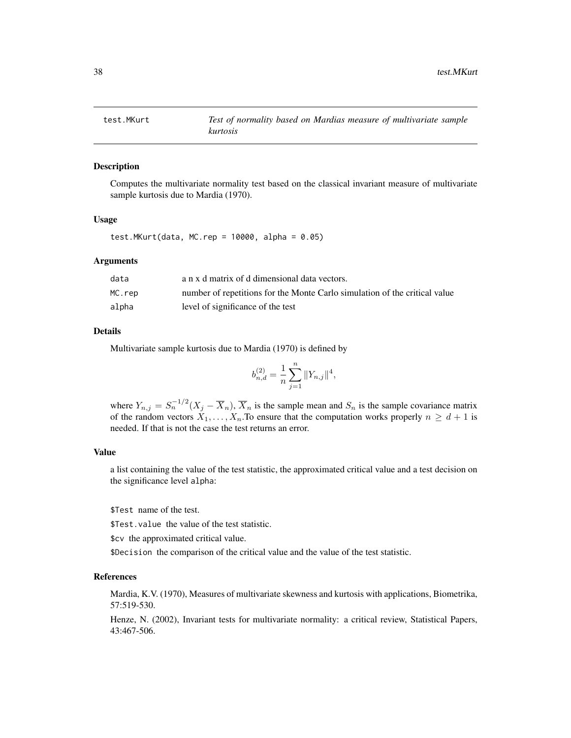<span id="page-37-0"></span>

Computes the multivariate normality test based on the classical invariant measure of multivariate sample kurtosis due to Mardia (1970).

# Usage

test.MKurt(data, MC.rep =  $10000$ , alpha =  $0.05$ )

# Arguments

| data   | a n x d matrix of d dimensional data vectors.                              |
|--------|----------------------------------------------------------------------------|
| MC.rep | number of repetitions for the Monte Carlo simulation of the critical value |
| alpha  | level of significance of the test                                          |

#### Details

Multivariate sample kurtosis due to Mardia (1970) is defined by

$$
b_{n,d}^{(2)} = \frac{1}{n} \sum_{j=1}^{n} ||Y_{n,j}||^4,
$$

where  $Y_{n,j} = S_n^{-1/2} (X_j - \overline{X}_n)$ ,  $\overline{X}_n$  is the sample mean and  $S_n$  is the sample covariance matrix of the random vectors  $X_1, \ldots, X_n$ . To ensure that the computation works properly  $n \geq d+1$  is needed. If that is not the case the test returns an error.

#### Value

a list containing the value of the test statistic, the approximated critical value and a test decision on the significance level alpha:

\$Test name of the test.

\$Test.value the value of the test statistic.

\$cv the approximated critical value.

\$Decision the comparison of the critical value and the value of the test statistic.

# References

Mardia, K.V. (1970), Measures of multivariate skewness and kurtosis with applications, Biometrika, 57:519-530.

Henze, N. (2002), Invariant tests for multivariate normality: a critical review, Statistical Papers, 43:467-506.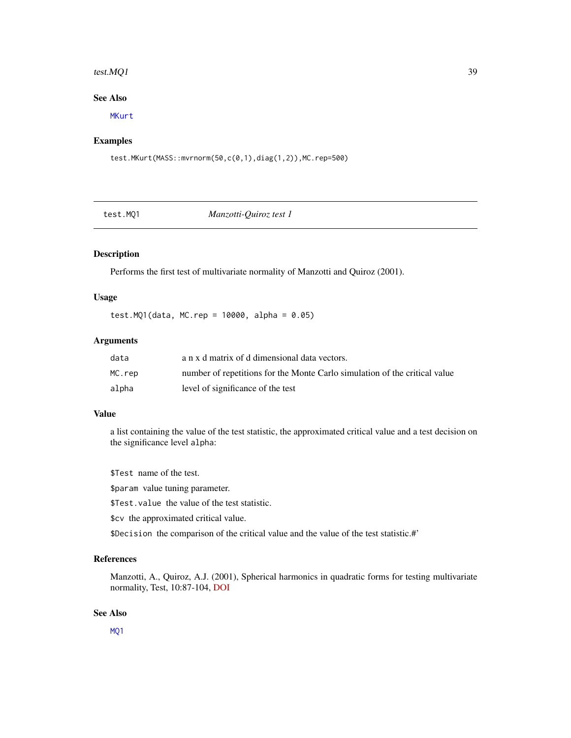#### <span id="page-38-0"></span>test. $MQ1$  39

# See Also

[MKurt](#page-14-1)

# Examples

test.MKurt(MASS::mvrnorm(50,c(0,1),diag(1,2)),MC.rep=500)

test.MQ1 *Manzotti-Quiroz test 1*

# Description

Performs the first test of multivariate normality of Manzotti and Quiroz (2001).

#### Usage

test.MQ1(data, MC.rep = 10000, alpha = 0.05)

# Arguments

| data   | a n x d matrix of d dimensional data vectors.                              |
|--------|----------------------------------------------------------------------------|
| MC.rep | number of repetitions for the Monte Carlo simulation of the critical value |
| alpha  | level of significance of the test                                          |

#### Value

a list containing the value of the test statistic, the approximated critical value and a test decision on the significance level alpha:

\$Test name of the test.

\$param value tuning parameter.

\$Test.value the value of the test statistic.

\$cv the approximated critical value.

\$Decision the comparison of the critical value and the value of the test statistic.#'

# References

Manzotti, A., Quiroz, A.J. (2001), Spherical harmonics in quadratic forms for testing multivariate normality, Test, 10:87-104, [DOI](https://doi.org/10.1007/BF02595825)

# See Also

[MQ1](#page-15-1)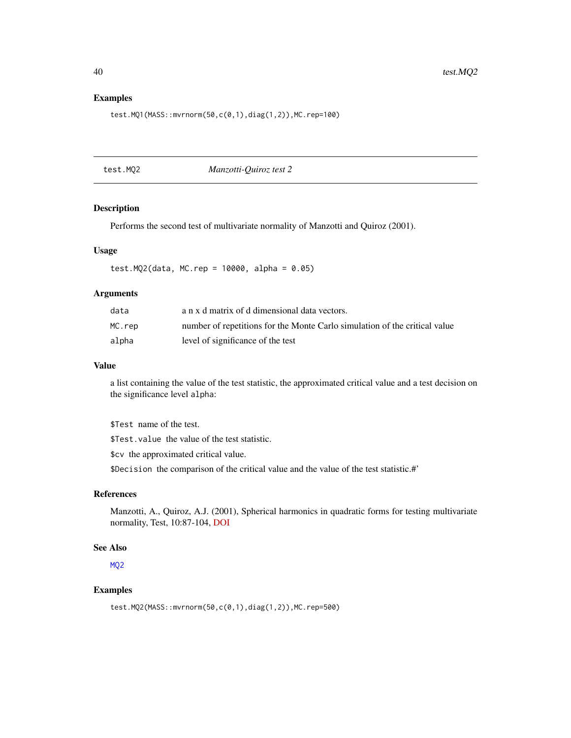#### Examples

test.MQ1(MASS::mvrnorm(50,c(0,1),diag(1,2)),MC.rep=100)

test.MQ2 *Manzotti-Quiroz test 2*

# Description

Performs the second test of multivariate normality of Manzotti and Quiroz (2001).

#### Usage

test.MQ2(data, MC.rep =  $10000$ , alpha =  $0.05$ )

# Arguments

| data   | a n x d matrix of d dimensional data vectors.                              |
|--------|----------------------------------------------------------------------------|
| MC.rep | number of repetitions for the Monte Carlo simulation of the critical value |
| alpha  | level of significance of the test                                          |

#### Value

a list containing the value of the test statistic, the approximated critical value and a test decision on the significance level alpha:

\$Test name of the test.

\$Test.value the value of the test statistic.

\$cv the approximated critical value.

\$Decision the comparison of the critical value and the value of the test statistic.#'

#### References

Manzotti, A., Quiroz, A.J. (2001), Spherical harmonics in quadratic forms for testing multivariate normality, Test, 10:87-104, [DOI](https://doi.org/10.1007/BF02595825)

# See Also

[MQ2](#page-15-2)

# Examples

test.MQ2(MASS::mvrnorm(50,c(0,1),diag(1,2)),MC.rep=500)

<span id="page-39-0"></span>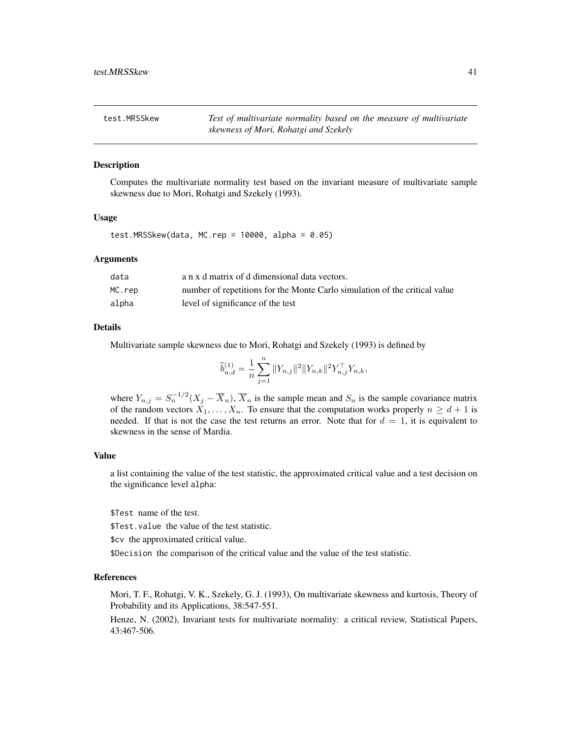<span id="page-40-0"></span>test.MRSSkew *Test of multivariate normality based on the measure of multivariate skewness of Mori, Rohatgi and Szekely*

#### Description

Computes the multivariate normality test based on the invariant measure of multivariate sample skewness due to Mori, Rohatgi and Szekely (1993).

#### Usage

test.MRSSkew(data, MC.rep =  $10000$ , alpha =  $0.05$ )

#### Arguments

| data   | a n x d matrix of d dimensional data vectors.                              |
|--------|----------------------------------------------------------------------------|
| MC.rep | number of repetitions for the Monte Carlo simulation of the critical value |
| alpha  | level of significance of the test                                          |

# Details

Multivariate sample skewness due to Mori, Rohatgi and Szekely (1993) is defined by

$$
\widetilde{b}_{n,d}^{(1)} = \frac{1}{n} \sum_{j=1}^{n} ||Y_{n,j}||^2 ||Y_{n,k}||^2 Y_{n,j}^\top Y_{n,k},
$$

where  $Y_{n,j} = S_n^{-1/2} (X_j - \overline{X}_n)$ ,  $\overline{X}_n$  is the sample mean and  $S_n$  is the sample covariance matrix of the random vectors  $X_1, \ldots, X_n$ . To ensure that the computation works properly  $n \geq d+1$  is needed. If that is not the case the test returns an error. Note that for  $d = 1$ , it is equivalent to skewness in the sense of Mardia.

# Value

a list containing the value of the test statistic, the approximated critical value and a test decision on the significance level alpha:

\$Test name of the test.

\$Test.value the value of the test statistic.

\$cv the approximated critical value.

\$Decision the comparison of the critical value and the value of the test statistic.

# References

Mori, T. F., Rohatgi, V. K., Szekely, G. J. (1993), On multivariate skewness and kurtosis, Theory of Probability and its Applications, 38:547-551.

Henze, N. (2002), Invariant tests for multivariate normality: a critical review, Statistical Papers, 43:467-506.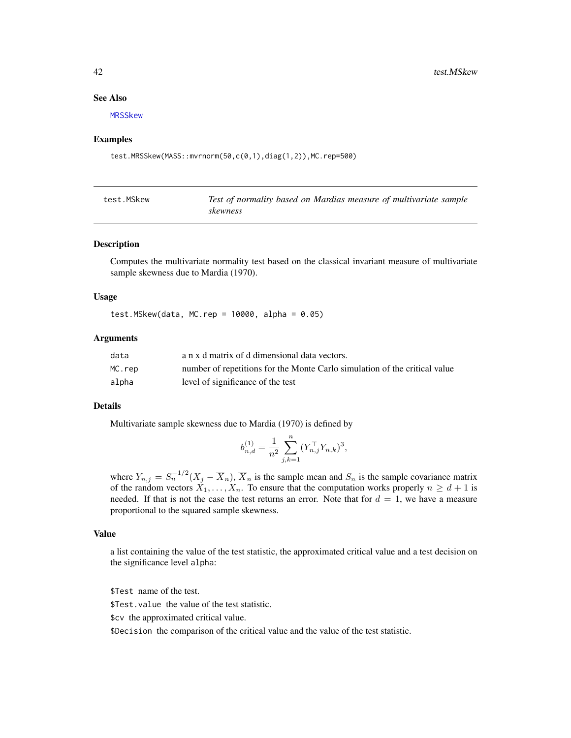#### <span id="page-41-0"></span>See Also

[MRSSkew](#page-16-1)

#### Examples

test.MRSSkew(MASS::mvrnorm(50,c(0,1),diag(1,2)),MC.rep=500)

| test.MSkew | Test of normality based on Mardias measure of multivariate sample |
|------------|-------------------------------------------------------------------|
|            | skewness                                                          |

#### Description

Computes the multivariate normality test based on the classical invariant measure of multivariate sample skewness due to Mardia (1970).

#### Usage

test.MSkew(data, MC.rep =  $10000$ , alpha =  $0.05$ )

# Arguments

| data   | a n x d matrix of d dimensional data vectors.                              |
|--------|----------------------------------------------------------------------------|
| MC.rep | number of repetitions for the Monte Carlo simulation of the critical value |
| alpha  | level of significance of the test                                          |

# Details

Multivariate sample skewness due to Mardia (1970) is defined by

$$
b_{n,d}^{(1)} = \frac{1}{n^2} \sum_{j,k=1}^n (Y_{n,j}^\top Y_{n,k})^3,
$$

where  $Y_{n,j} = S_n^{-1/2} (X_j - \overline{X}_n)$ ,  $\overline{X}_n$  is the sample mean and  $S_n$  is the sample covariance matrix of the random vectors  $X_1, \ldots, X_n$ . To ensure that the computation works properly  $n \geq d+1$  is needed. If that is not the case the test returns an error. Note that for  $d = 1$ , we have a measure proportional to the squared sample skewness.

#### Value

a list containing the value of the test statistic, the approximated critical value and a test decision on the significance level alpha:

\$Test name of the test.

\$Test.value the value of the test statistic.

\$cv the approximated critical value.

\$Decision the comparison of the critical value and the value of the test statistic.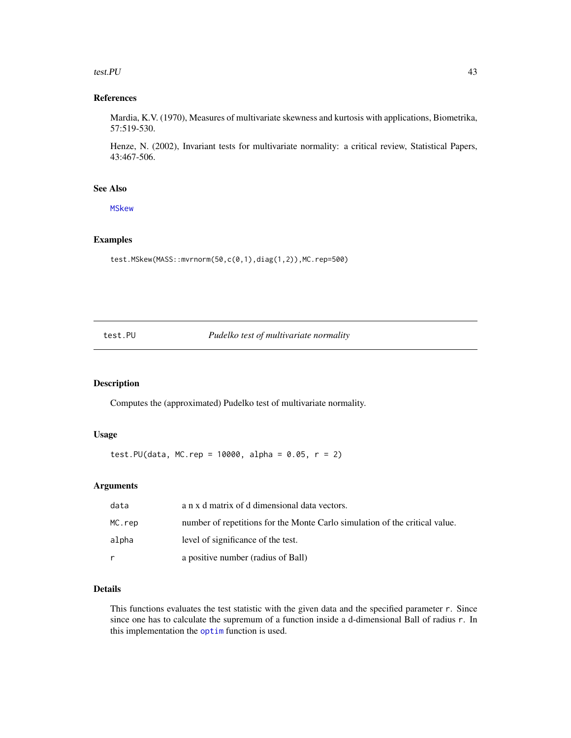#### <span id="page-42-0"></span>test.PU 43

# References

Mardia, K.V. (1970), Measures of multivariate skewness and kurtosis with applications, Biometrika, 57:519-530.

Henze, N. (2002), Invariant tests for multivariate normality: a critical review, Statistical Papers, 43:467-506.

#### See Also

[MSkew](#page-17-1)

# Examples

test.MSkew(MASS::mvrnorm(50,c(0,1),diag(1,2)),MC.rep=500)

test.PU *Pudelko test of multivariate normality*

# Description

Computes the (approximated) Pudelko test of multivariate normality.

#### Usage

test.PU(data, MC.rep = 10000, alpha =  $0.05$ , r = 2)

# Arguments

| data   | a n x d matrix of d dimensional data vectors.                               |
|--------|-----------------------------------------------------------------------------|
| MC.rep | number of repetitions for the Monte Carlo simulation of the critical value. |
| alpha  | level of significance of the test.                                          |
|        | a positive number (radius of Ball)                                          |

# Details

This functions evaluates the test statistic with the given data and the specified parameter r. Since since one has to calculate the supremum of a function inside a d-dimensional Ball of radius r. In this implementation the [optim](#page-0-0) function is used.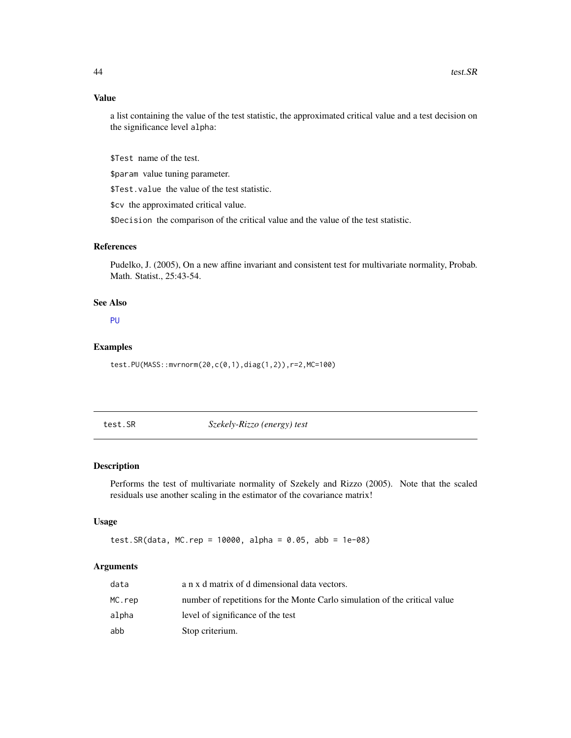# <span id="page-43-0"></span>Value

a list containing the value of the test statistic, the approximated critical value and a test decision on the significance level alpha:

\$Test name of the test.

\$param value tuning parameter.

\$Test.value the value of the test statistic.

\$cv the approximated critical value.

\$Decision the comparison of the critical value and the value of the test statistic.

# References

Pudelko, J. (2005), On a new affine invariant and consistent test for multivariate normality, Probab. Math. Statist., 25:43-54.

# See Also

[PU](#page-18-1)

#### Examples

test.PU(MASS::mvrnorm(20,c(0,1),diag(1,2)),r=2,MC=100)

test.SR *Szekely-Rizzo (energy) test*

#### Description

Performs the test of multivariate normality of Szekely and Rizzo (2005). Note that the scaled residuals use another scaling in the estimator of the covariance matrix!

# Usage

test.SR(data, MC.rep = 10000, alpha = 0.05, abb = 1e-08)

# Arguments

| data   | a n x d matrix of d dimensional data vectors.                              |
|--------|----------------------------------------------------------------------------|
| MC.rep | number of repetitions for the Monte Carlo simulation of the critical value |
| alpha  | level of significance of the test                                          |
| abb    | Stop criterium.                                                            |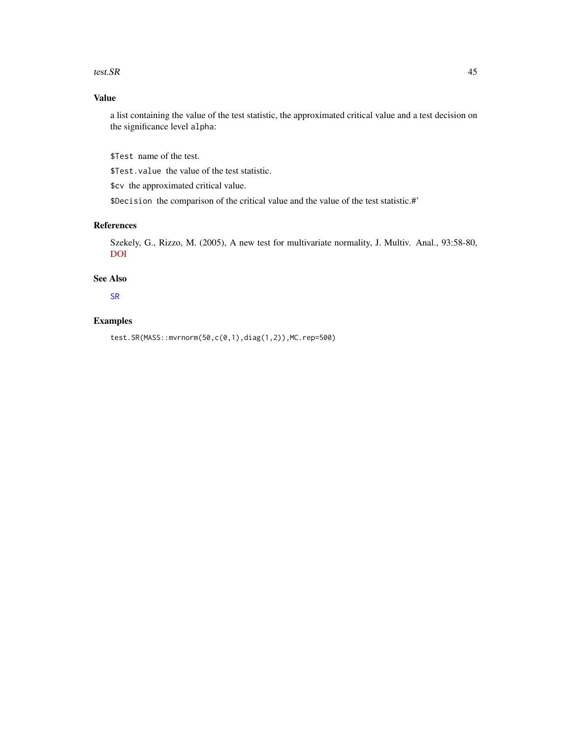#### <span id="page-44-0"></span>test.SR and the state of the state of the state of the state of the state of the state of the state of the state of the state of the state of the state of the state of the state of the state of the state of the state of th

# Value

a list containing the value of the test statistic, the approximated critical value and a test decision on the significance level alpha:

\$Test name of the test.

\$Test.value the value of the test statistic.

\$cv the approximated critical value.

\$Decision the comparison of the critical value and the value of the test statistic.#'

# References

Szekely, G., Rizzo, M. (2005), A new test for multivariate normality, J. Multiv. Anal., 93:58-80, [DOI](https://doi.org/10.1016/j.jmva.2003.12.002)

# See Also

[SR](#page-21-1)

# Examples

test.SR(MASS::mvrnorm(50,c(0,1),diag(1,2)),MC.rep=500)